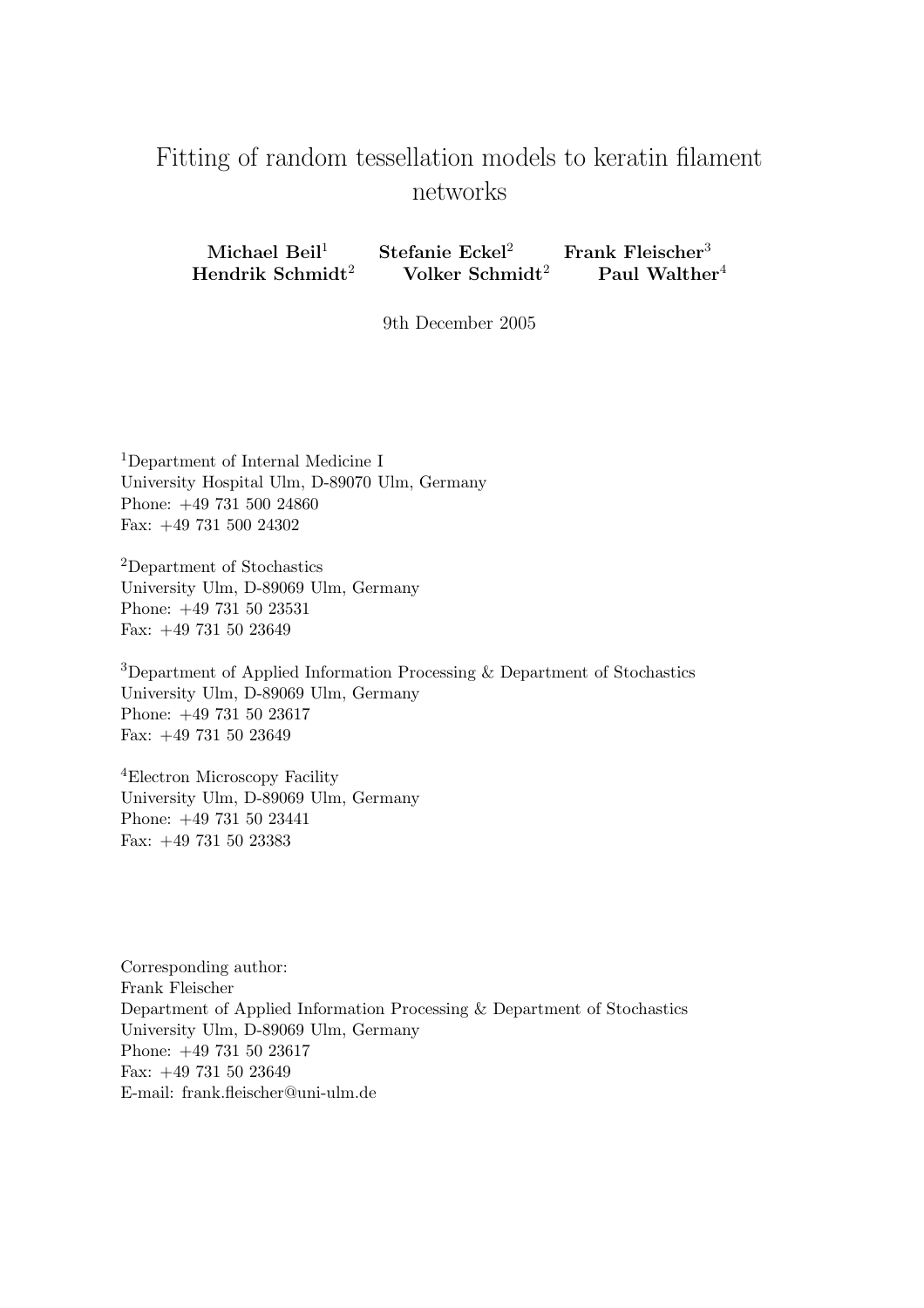# Fitting of random tessellation models to keratin filament networks

Michael Beil<sup>1</sup> Stefanie Eckel<sup>2</sup> Frank Fleischer<sup>3</sup> Hendrik Schmidt<sup>2</sup> Volker Schmidt<sup>2</sup> Paul Walther<sup>4</sup>

9th December 2005

<sup>1</sup>Department of Internal Medicine I University Hospital Ulm, D-89070 Ulm, Germany Phone: +49 731 500 24860 Fax: +49 731 500 24302

<sup>2</sup>Department of Stochastics University Ulm, D-89069 Ulm, Germany Phone: +49 731 50 23531 Fax: +49 731 50 23649

<sup>3</sup>Department of Applied Information Processing & Department of Stochastics University Ulm, D-89069 Ulm, Germany Phone: +49 731 50 23617 Fax: +49 731 50 23649

<sup>4</sup>Electron Microscopy Facility University Ulm, D-89069 Ulm, Germany Phone: +49 731 50 23441 Fax: +49 731 50 23383

Corresponding author: Frank Fleischer Department of Applied Information Processing & Department of Stochastics University Ulm, D-89069 Ulm, Germany Phone: +49 731 50 23617 Fax: +49 731 50 23649 E-mail: frank.fleischer@uni-ulm.de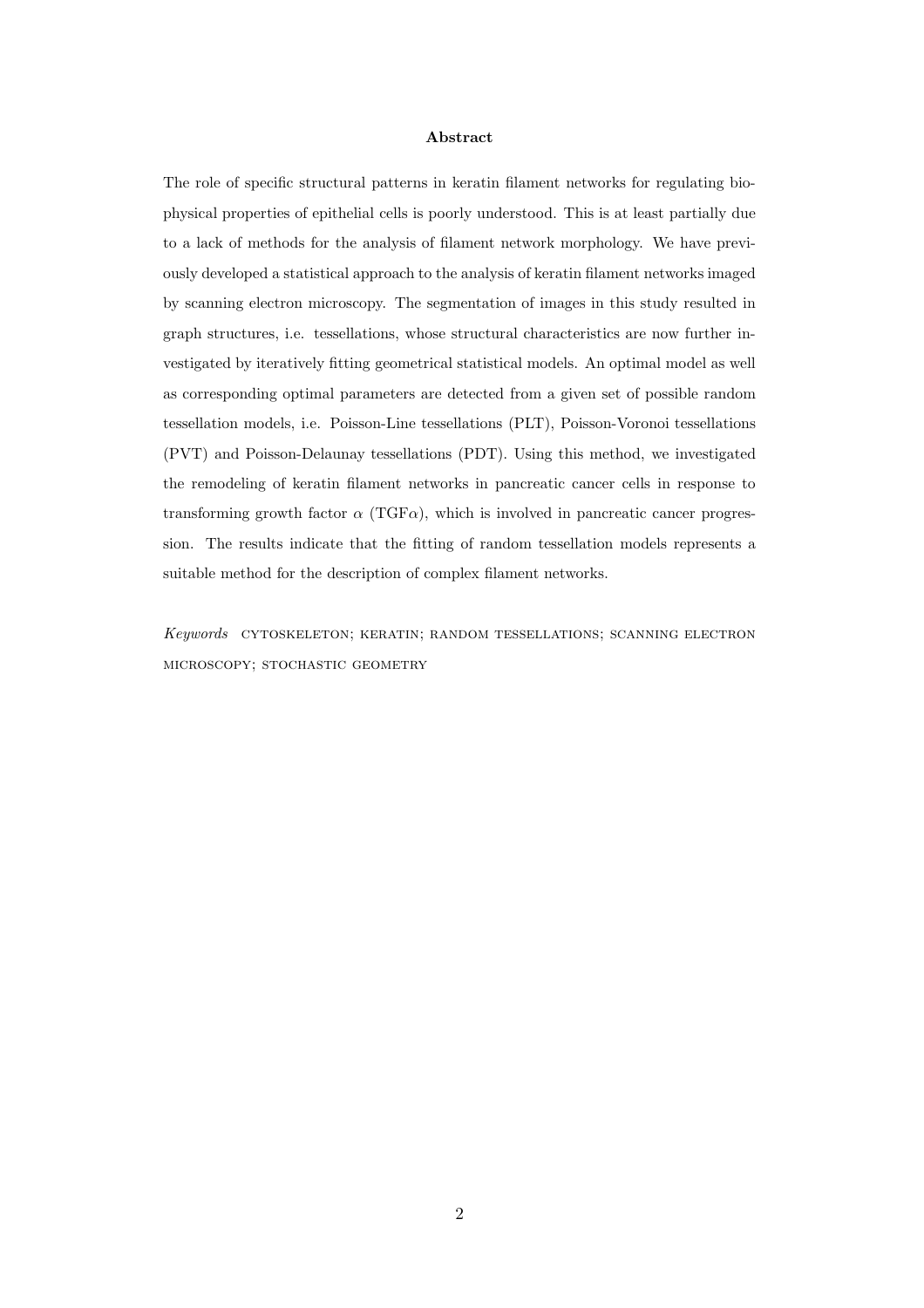#### Abstract

The role of specific structural patterns in keratin filament networks for regulating biophysical properties of epithelial cells is poorly understood. This is at least partially due to a lack of methods for the analysis of filament network morphology. We have previously developed a statistical approach to the analysis of keratin filament networks imaged by scanning electron microscopy. The segmentation of images in this study resulted in graph structures, i.e. tessellations, whose structural characteristics are now further investigated by iteratively fitting geometrical statistical models. An optimal model as well as corresponding optimal parameters are detected from a given set of possible random tessellation models, i.e. Poisson-Line tessellations (PLT), Poisson-Voronoi tessellations (PVT) and Poisson-Delaunay tessellations (PDT). Using this method, we investigated the remodeling of keratin filament networks in pancreatic cancer cells in response to transforming growth factor  $\alpha$  (TGF $\alpha$ ), which is involved in pancreatic cancer progression. The results indicate that the fitting of random tessellation models represents a suitable method for the description of complex filament networks.

Keywords cytoskeleton; keratin; random tessellations; scanning electron microscopy; stochastic geometry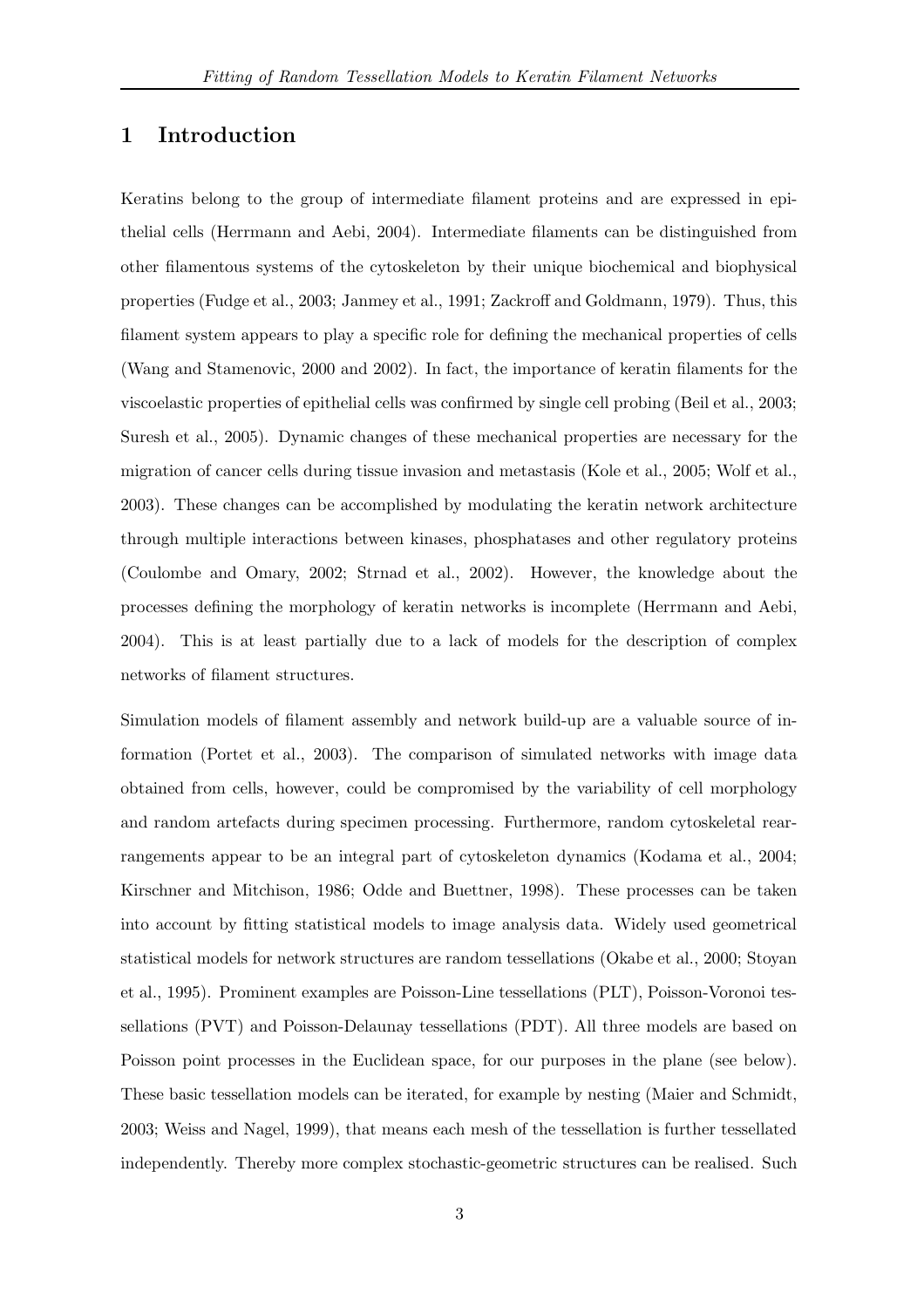# 1 Introduction

Keratins belong to the group of intermediate filament proteins and are expressed in epithelial cells (Herrmann and Aebi, 2004). Intermediate filaments can be distinguished from other filamentous systems of the cytoskeleton by their unique biochemical and biophysical properties (Fudge et al., 2003; Janmey et al., 1991; Zackroff and Goldmann, 1979). Thus, this filament system appears to play a specific role for defining the mechanical properties of cells (Wang and Stamenovic, 2000 and 2002). In fact, the importance of keratin filaments for the viscoelastic properties of epithelial cells was confirmed by single cell probing (Beil et al., 2003; Suresh et al., 2005). Dynamic changes of these mechanical properties are necessary for the migration of cancer cells during tissue invasion and metastasis (Kole et al., 2005; Wolf et al., 2003). These changes can be accomplished by modulating the keratin network architecture through multiple interactions between kinases, phosphatases and other regulatory proteins (Coulombe and Omary, 2002; Strnad et al., 2002). However, the knowledge about the processes defining the morphology of keratin networks is incomplete (Herrmann and Aebi, 2004). This is at least partially due to a lack of models for the description of complex networks of filament structures.

Simulation models of filament assembly and network build-up are a valuable source of information (Portet et al., 2003). The comparison of simulated networks with image data obtained from cells, however, could be compromised by the variability of cell morphology and random artefacts during specimen processing. Furthermore, random cytoskeletal rearrangements appear to be an integral part of cytoskeleton dynamics (Kodama et al., 2004; Kirschner and Mitchison, 1986; Odde and Buettner, 1998). These processes can be taken into account by fitting statistical models to image analysis data. Widely used geometrical statistical models for network structures are random tessellations (Okabe et al., 2000; Stoyan et al., 1995). Prominent examples are Poisson-Line tessellations (PLT), Poisson-Voronoi tessellations (PVT) and Poisson-Delaunay tessellations (PDT). All three models are based on Poisson point processes in the Euclidean space, for our purposes in the plane (see below). These basic tessellation models can be iterated, for example by nesting (Maier and Schmidt, 2003; Weiss and Nagel, 1999), that means each mesh of the tessellation is further tessellated independently. Thereby more complex stochastic-geometric structures can be realised. Such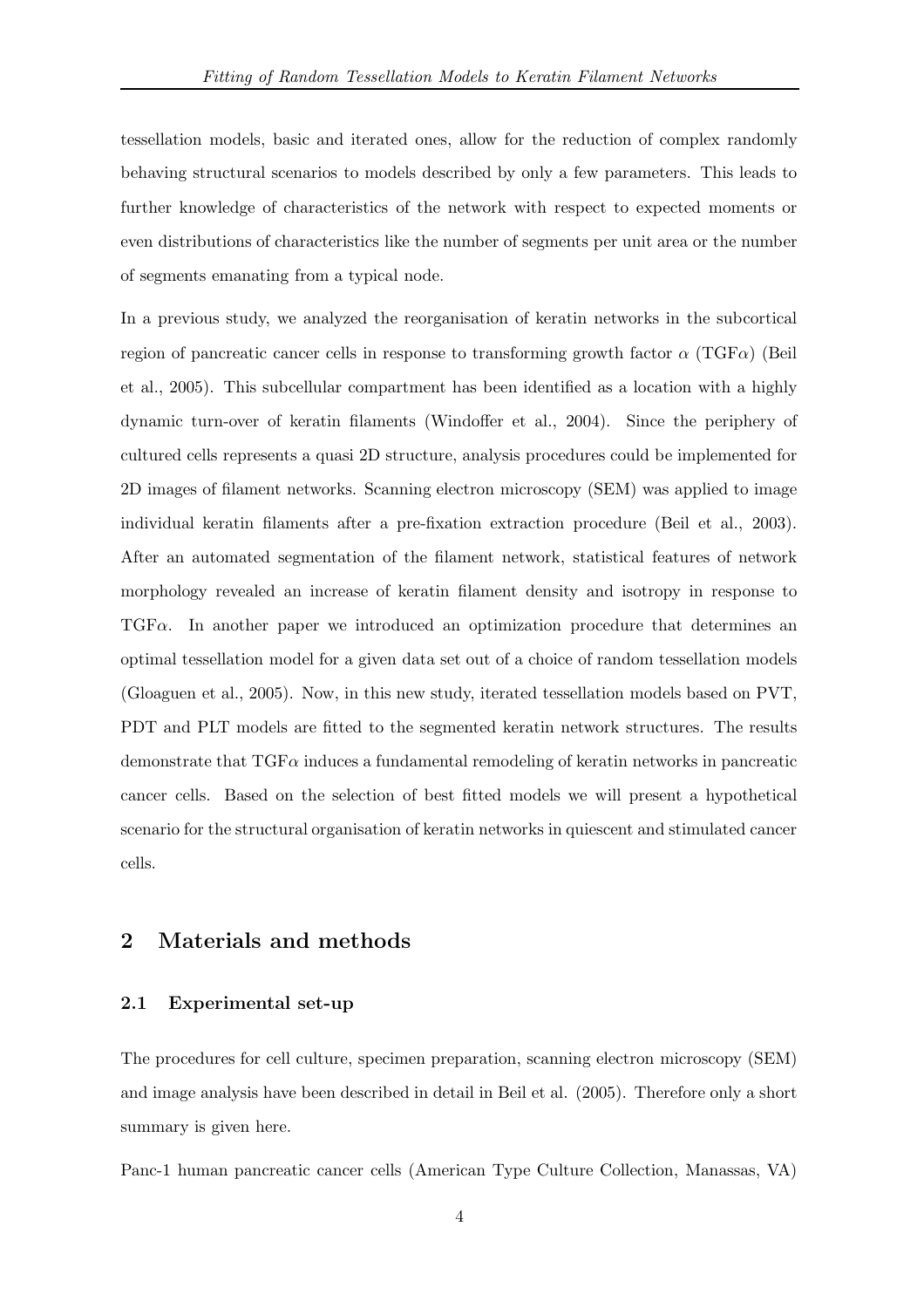tessellation models, basic and iterated ones, allow for the reduction of complex randomly behaving structural scenarios to models described by only a few parameters. This leads to further knowledge of characteristics of the network with respect to expected moments or even distributions of characteristics like the number of segments per unit area or the number of segments emanating from a typical node.

In a previous study, we analyzed the reorganisation of keratin networks in the subcortical region of pancreatic cancer cells in response to transforming growth factor  $\alpha$  (TGF $\alpha$ ) (Beil et al., 2005). This subcellular compartment has been identified as a location with a highly dynamic turn-over of keratin filaments (Windoffer et al., 2004). Since the periphery of cultured cells represents a quasi 2D structure, analysis procedures could be implemented for 2D images of filament networks. Scanning electron microscopy (SEM) was applied to image individual keratin filaments after a pre-fixation extraction procedure (Beil et al., 2003). After an automated segmentation of the filament network, statistical features of network morphology revealed an increase of keratin filament density and isotropy in response to  $TGF\alpha$ . In another paper we introduced an optimization procedure that determines an optimal tessellation model for a given data set out of a choice of random tessellation models (Gloaguen et al., 2005). Now, in this new study, iterated tessellation models based on PVT, PDT and PLT models are fitted to the segmented keratin network structures. The results demonstrate that  $TGF\alpha$  induces a fundamental remodeling of keratin networks in pancreatic cancer cells. Based on the selection of best fitted models we will present a hypothetical scenario for the structural organisation of keratin networks in quiescent and stimulated cancer cells.

# 2 Materials and methods

# 2.1 Experimental set-up

The procedures for cell culture, specimen preparation, scanning electron microscopy (SEM) and image analysis have been described in detail in Beil et al. (2005). Therefore only a short summary is given here.

Panc-1 human pancreatic cancer cells (American Type Culture Collection, Manassas, VA)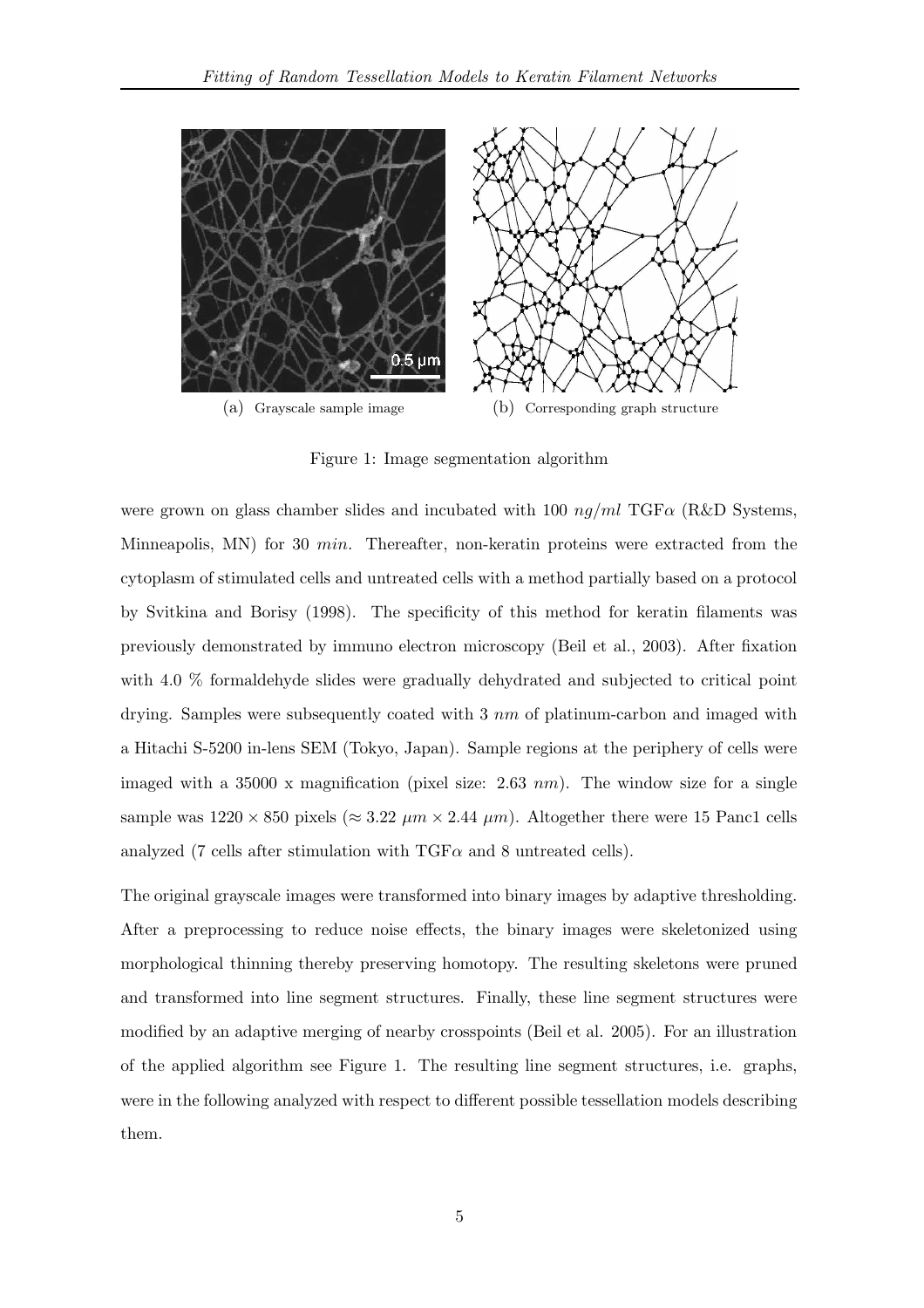

Figure 1: Image segmentation algorithm

were grown on glass chamber slides and incubated with 100  $nq/ml$  TGF $\alpha$  (R&D Systems, Minneapolis, MN) for 30  $min$ . Thereafter, non-keratin proteins were extracted from the cytoplasm of stimulated cells and untreated cells with a method partially based on a protocol by Svitkina and Borisy (1998). The specificity of this method for keratin filaments was previously demonstrated by immuno electron microscopy (Beil et al., 2003). After fixation with 4.0 % formaldehyde slides were gradually dehydrated and subjected to critical point drying. Samples were subsequently coated with  $3 \, nm$  of platinum-carbon and imaged with a Hitachi S-5200 in-lens SEM (Tokyo, Japan). Sample regions at the periphery of cells were imaged with a 35000 x magnification (pixel size:  $2.63 \, \text{nm}$ ). The window size for a single sample was  $1220 \times 850$  pixels ( $\approx 3.22 \ \mu m \times 2.44 \ \mu m$ ). Altogether there were 15 Panc1 cells analyzed (7 cells after stimulation with  $TGF\alpha$  and 8 untreated cells).

The original grayscale images were transformed into binary images by adaptive thresholding. After a preprocessing to reduce noise effects, the binary images were skeletonized using morphological thinning thereby preserving homotopy. The resulting skeletons were pruned and transformed into line segment structures. Finally, these line segment structures were modified by an adaptive merging of nearby crosspoints (Beil et al. 2005). For an illustration of the applied algorithm see Figure 1. The resulting line segment structures, i.e. graphs, were in the following analyzed with respect to different possible tessellation models describing them.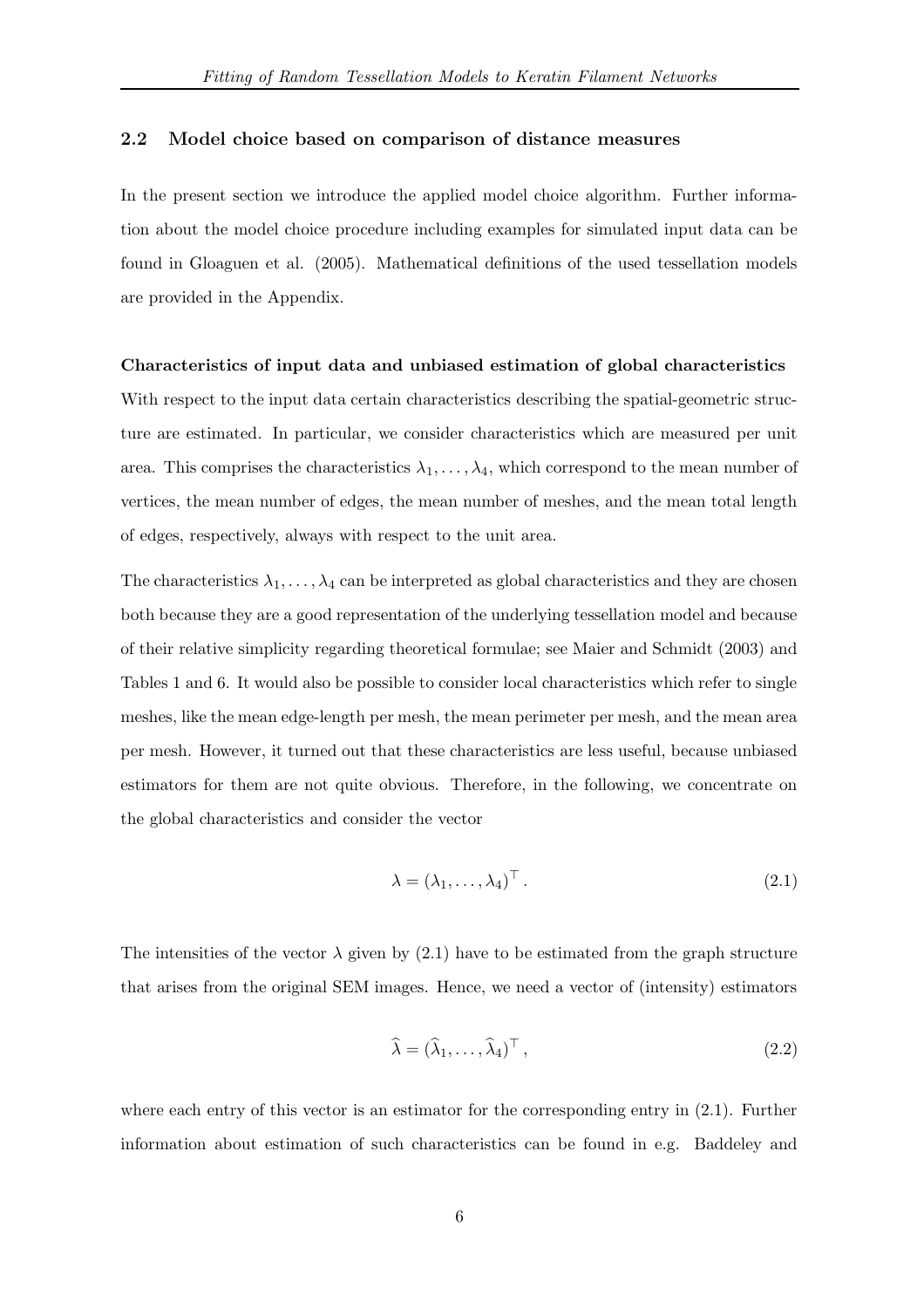# 2.2 Model choice based on comparison of distance measures

In the present section we introduce the applied model choice algorithm. Further information about the model choice procedure including examples for simulated input data can be found in Gloaguen et al. (2005). Mathematical definitions of the used tessellation models are provided in the Appendix.

#### Characteristics of input data and unbiased estimation of global characteristics

With respect to the input data certain characteristics describing the spatial-geometric structure are estimated. In particular, we consider characteristics which are measured per unit area. This comprises the characteristics  $\lambda_1, \ldots, \lambda_4$ , which correspond to the mean number of vertices, the mean number of edges, the mean number of meshes, and the mean total length of edges, respectively, always with respect to the unit area.

The characteristics  $\lambda_1, \ldots, \lambda_4$  can be interpreted as global characteristics and they are chosen both because they are a good representation of the underlying tessellation model and because of their relative simplicity regarding theoretical formulae; see Maier and Schmidt (2003) and Tables 1 and 6. It would also be possible to consider local characteristics which refer to single meshes, like the mean edge-length per mesh, the mean perimeter per mesh, and the mean area per mesh. However, it turned out that these characteristics are less useful, because unbiased estimators for them are not quite obvious. Therefore, in the following, we concentrate on the global characteristics and consider the vector

$$
\lambda = (\lambda_1, \dots, \lambda_4)^\top. \tag{2.1}
$$

The intensities of the vector  $\lambda$  given by (2.1) have to be estimated from the graph structure that arises from the original SEM images. Hence, we need a vector of (intensity) estimators

$$
\widehat{\lambda} = (\widehat{\lambda}_1, \dots, \widehat{\lambda}_4)^{\top}, \tag{2.2}
$$

where each entry of this vector is an estimator for the corresponding entry in  $(2.1)$ . Further information about estimation of such characteristics can be found in e.g. Baddeley and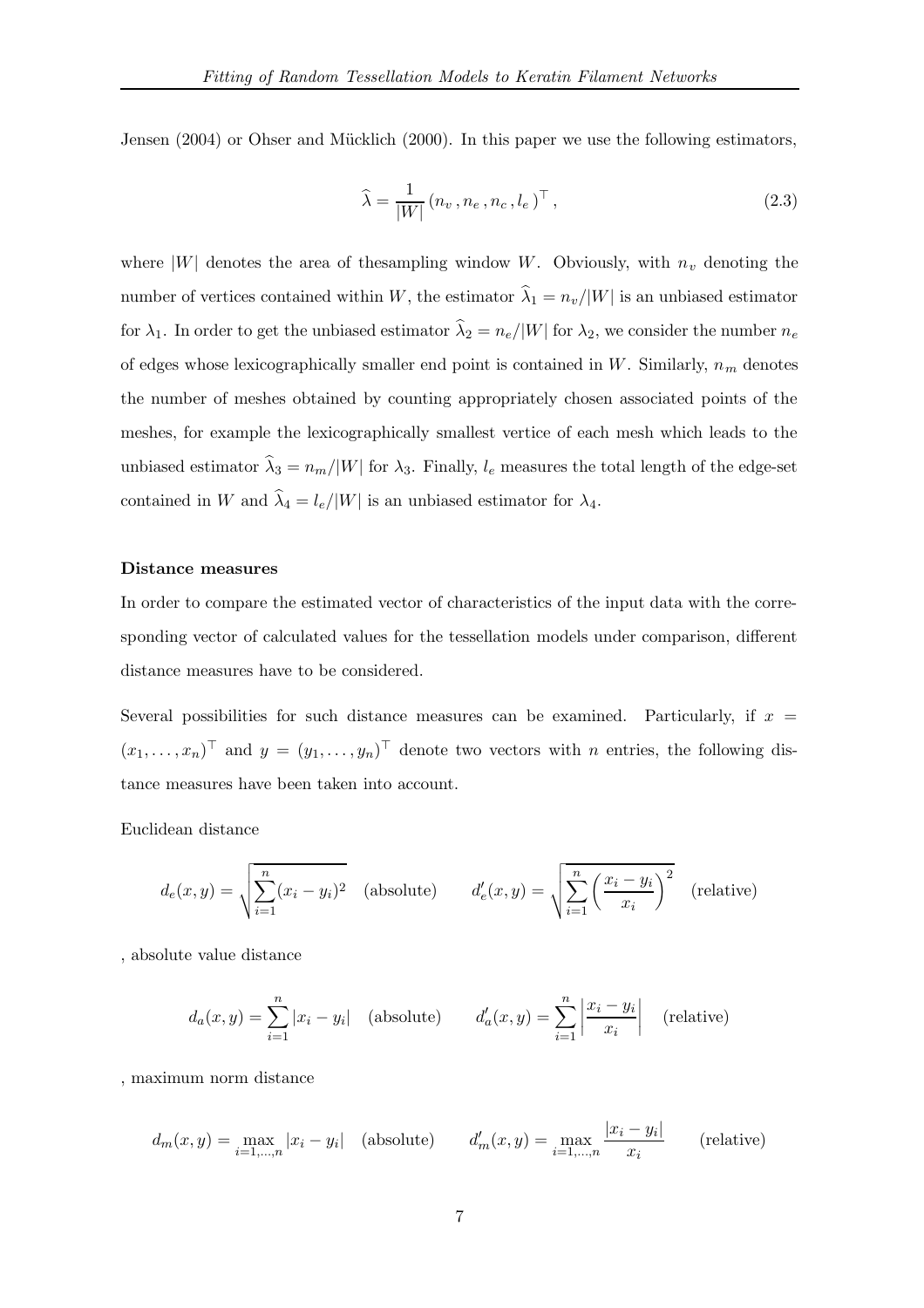Jensen  $(2004)$  or Ohser and Mücklich  $(2000)$ . In this paper we use the following estimators,

$$
\widehat{\lambda} = \frac{1}{|W|} (n_v, n_e, n_c, l_e)^\top , \qquad (2.3)
$$

where  $|W|$  denotes the area of the sampling window W. Obviously, with  $n_v$  denoting the number of vertices contained within W, the estimator  $\hat{\lambda}_1 = n_v/|W|$  is an unbiased estimator for  $\lambda_1$ . In order to get the unbiased estimator  $\hat{\lambda}_2 = n_e/|W|$  for  $\lambda_2$ , we consider the number  $n_e$ of edges whose lexicographically smaller end point is contained in W. Similarly,  $n_m$  denotes the number of meshes obtained by counting appropriately chosen associated points of the meshes, for example the lexicographically smallest vertice of each mesh which leads to the unbiased estimator  $\hat{\lambda}_3 = n_m/|W|$  for  $\lambda_3$ . Finally,  $l_e$  measures the total length of the edge-set contained in W and  $\hat{\lambda}_4 = l_e/|W|$  is an unbiased estimator for  $\lambda_4$ .

#### Distance measures

In order to compare the estimated vector of characteristics of the input data with the corresponding vector of calculated values for the tessellation models under comparison, different distance measures have to be considered.

Several possibilities for such distance measures can be examined. Particularly, if  $x =$  $(x_1, \ldots, x_n)$  and  $y = (y_1, \ldots, y_n)$  denote two vectors with n entries, the following distance measures have been taken into account.

Euclidean distance

$$
d_e(x,y) = \sqrt{\sum_{i=1}^n (x_i - y_i)^2}
$$
 (absolute) 
$$
d'_e(x,y) = \sqrt{\sum_{i=1}^n \left(\frac{x_i - y_i}{x_i}\right)^2}
$$
 (relative)

, absolute value distance

$$
d_a(x,y) = \sum_{i=1}^n |x_i - y_i| \quad \text{(absolute)} \qquad d'_a(x,y) = \sum_{i=1}^n \left| \frac{x_i - y_i}{x_i} \right| \quad \text{(relative)}
$$

, maximum norm distance

$$
d_m(x,y) = \max_{i=1,\dots,n} |x_i - y_i| \quad \text{(absolute)} \qquad d'_m(x,y) = \max_{i=1,\dots,n} \frac{|x_i - y_i|}{x_i} \qquad \text{(relative)}
$$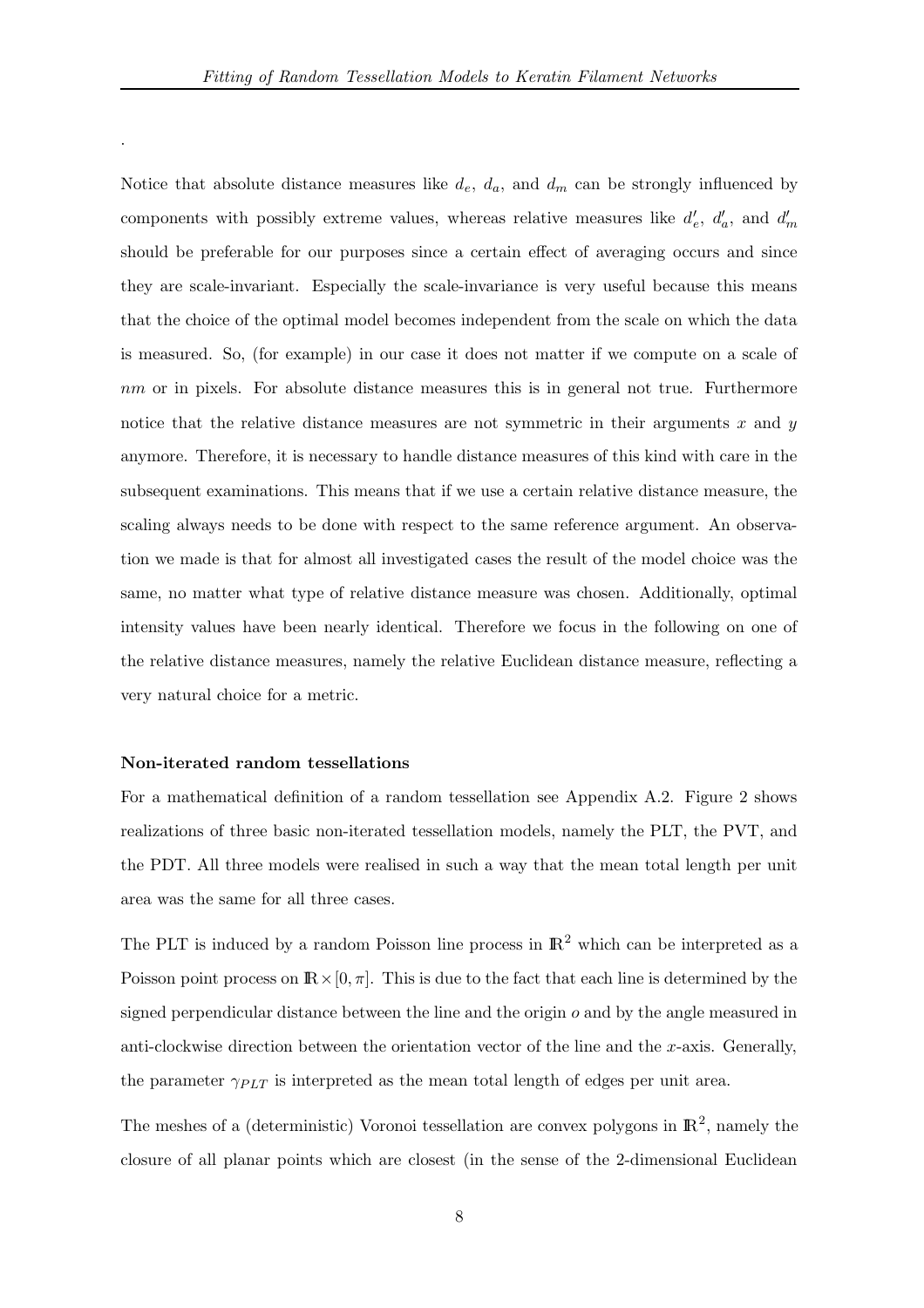Notice that absolute distance measures like  $d_e$ ,  $d_a$ , and  $d_m$  can be strongly influenced by components with possibly extreme values, whereas relative measures like  $d'_e$ ,  $d'_a$ , and  $d'_m$ should be preferable for our purposes since a certain effect of averaging occurs and since they are scale-invariant. Especially the scale-invariance is very useful because this means that the choice of the optimal model becomes independent from the scale on which the data is measured. So, (for example) in our case it does not matter if we compute on a scale of nm or in pixels. For absolute distance measures this is in general not true. Furthermore notice that the relative distance measures are not symmetric in their arguments  $x$  and  $y$ anymore. Therefore, it is necessary to handle distance measures of this kind with care in the subsequent examinations. This means that if we use a certain relative distance measure, the scaling always needs to be done with respect to the same reference argument. An observation we made is that for almost all investigated cases the result of the model choice was the same, no matter what type of relative distance measure was chosen. Additionally, optimal intensity values have been nearly identical. Therefore we focus in the following on one of the relative distance measures, namely the relative Euclidean distance measure, reflecting a very natural choice for a metric.

## Non-iterated random tessellations

.

For a mathematical definition of a random tessellation see Appendix A.2. Figure 2 shows realizations of three basic non-iterated tessellation models, namely the PLT, the PVT, and the PDT. All three models were realised in such a way that the mean total length per unit area was the same for all three cases.

The PLT is induced by a random Poisson line process in  $\mathbb{R}^2$  which can be interpreted as a Poisson point process on  $\mathbb{R} \times [0, \pi]$ . This is due to the fact that each line is determined by the signed perpendicular distance between the line and the origin  $o$  and by the angle measured in anti-clockwise direction between the orientation vector of the line and the  $x$ -axis. Generally, the parameter  $\gamma_{PLT}$  is interpreted as the mean total length of edges per unit area.

The meshes of a (deterministic) Voronoi tessellation are convex polygons in  $\mathbb{R}^2$ , namely the closure of all planar points which are closest (in the sense of the 2-dimensional Euclidean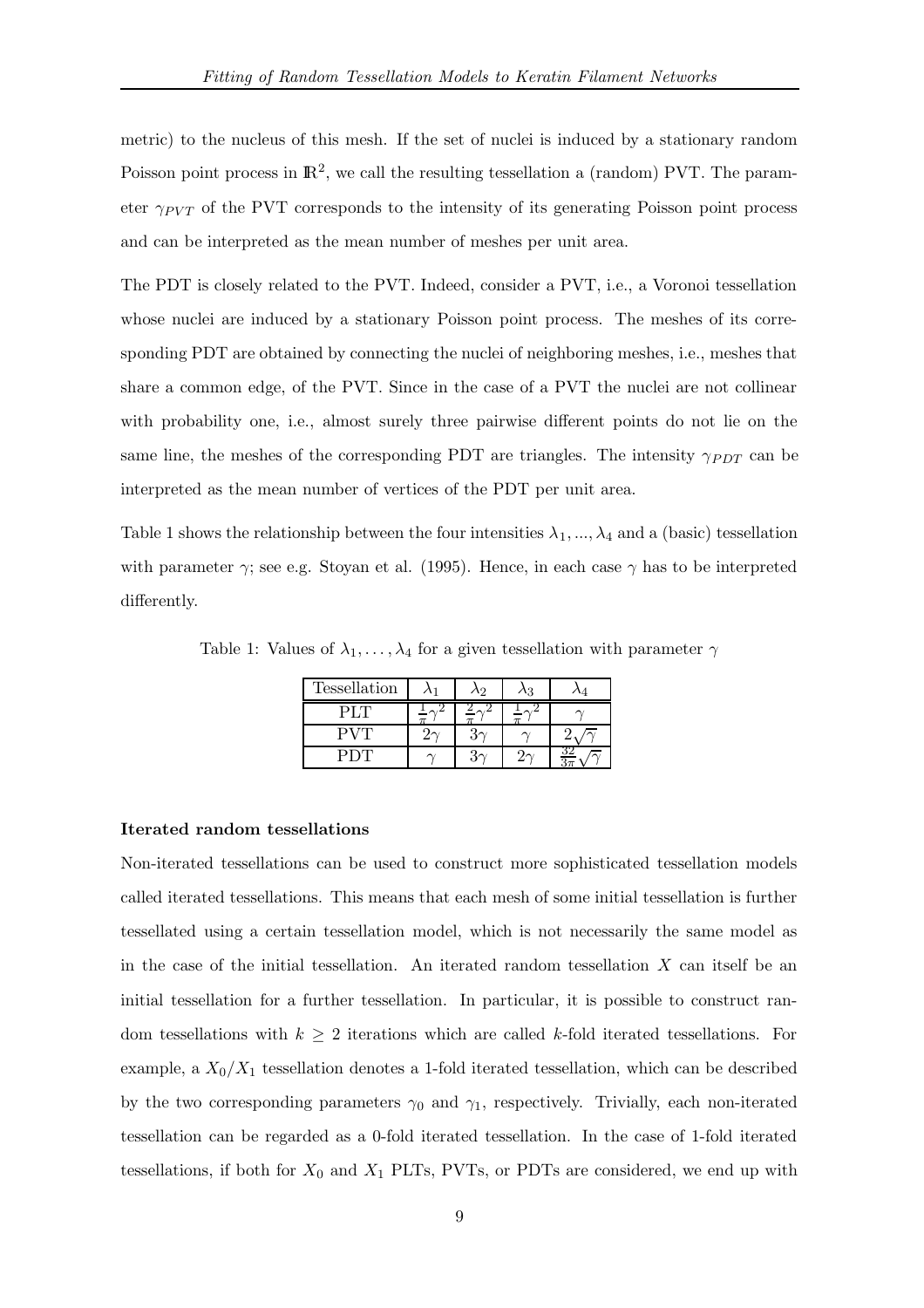metric) to the nucleus of this mesh. If the set of nuclei is induced by a stationary random Poisson point process in  $\mathbb{R}^2$ , we call the resulting tessellation a (random) PVT. The parameter  $\gamma_{PVT}$  of the PVT corresponds to the intensity of its generating Poisson point process and can be interpreted as the mean number of meshes per unit area.

The PDT is closely related to the PVT. Indeed, consider a PVT, i.e., a Voronoi tessellation whose nuclei are induced by a stationary Poisson point process. The meshes of its corresponding PDT are obtained by connecting the nuclei of neighboring meshes, i.e., meshes that share a common edge, of the PVT. Since in the case of a PVT the nuclei are not collinear with probability one, i.e., almost surely three pairwise different points do not lie on the same line, the meshes of the corresponding PDT are triangles. The intensity  $\gamma_{PDT}$  can be interpreted as the mean number of vertices of the PDT per unit area.

Table 1 shows the relationship between the four intensities  $\lambda_1, ..., \lambda_4$  and a (basic) tessellation with parameter  $\gamma$ ; see e.g. Stoyan et al. (1995). Hence, in each case  $\gamma$  has to be interpreted differently.

Table 1: Values of  $\lambda_1, \ldots, \lambda_4$  for a given tessellation with parameter  $\gamma$ 

| Tessellation | へつ | 2 |  |
|--------------|----|---|--|
|              |    |   |  |
|              |    |   |  |
|              |    |   |  |

#### Iterated random tessellations

Non-iterated tessellations can be used to construct more sophisticated tessellation models called iterated tessellations. This means that each mesh of some initial tessellation is further tessellated using a certain tessellation model, which is not necessarily the same model as in the case of the initial tessellation. An iterated random tessellation  $X$  can itself be an initial tessellation for a further tessellation. In particular, it is possible to construct random tessellations with  $k \geq 2$  iterations which are called k-fold iterated tessellations. For example, a  $X_0/X_1$  tessellation denotes a 1-fold iterated tessellation, which can be described by the two corresponding parameters  $\gamma_0$  and  $\gamma_1$ , respectively. Trivially, each non-iterated tessellation can be regarded as a 0-fold iterated tessellation. In the case of 1-fold iterated tessellations, if both for  $X_0$  and  $X_1$  PLTs, PVTs, or PDTs are considered, we end up with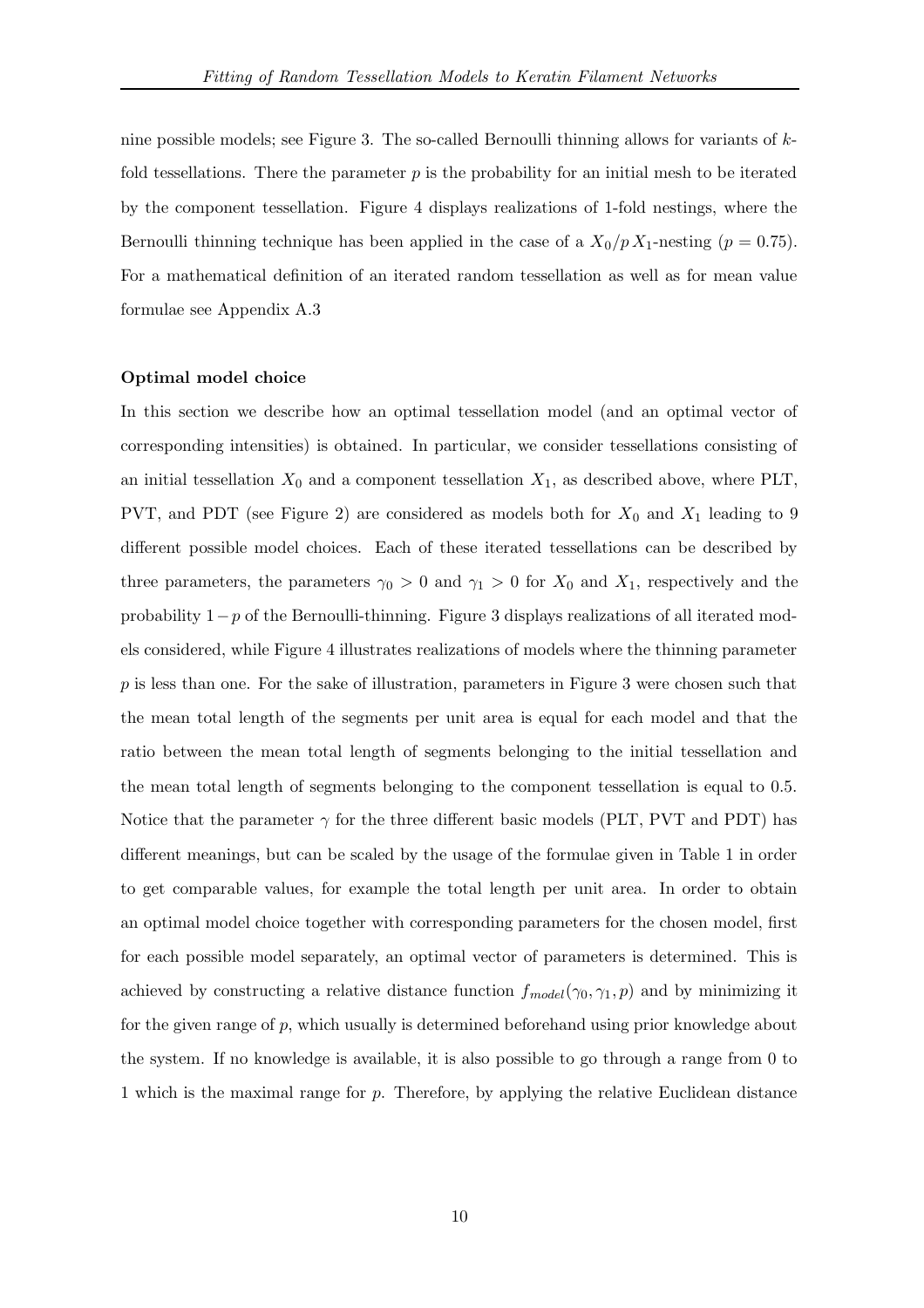nine possible models; see Figure 3. The so-called Bernoulli thinning allows for variants of  $k$ fold tessellations. There the parameter  $p$  is the probability for an initial mesh to be iterated by the component tessellation. Figure 4 displays realizations of 1-fold nestings, where the Bernoulli thinning technique has been applied in the case of a  $X_0/p X_1$ -nesting  $(p = 0.75)$ . For a mathematical definition of an iterated random tessellation as well as for mean value formulae see Appendix A.3

#### Optimal model choice

In this section we describe how an optimal tessellation model (and an optimal vector of corresponding intensities) is obtained. In particular, we consider tessellations consisting of an initial tessellation  $X_0$  and a component tessellation  $X_1$ , as described above, where PLT, PVT, and PDT (see Figure 2) are considered as models both for  $X_0$  and  $X_1$  leading to 9 different possible model choices. Each of these iterated tessellations can be described by three parameters, the parameters  $\gamma_0 > 0$  and  $\gamma_1 > 0$  for  $X_0$  and  $X_1$ , respectively and the probability  $1-p$  of the Bernoulli-thinning. Figure 3 displays realizations of all iterated models considered, while Figure 4 illustrates realizations of models where the thinning parameter  $p$  is less than one. For the sake of illustration, parameters in Figure 3 were chosen such that the mean total length of the segments per unit area is equal for each model and that the ratio between the mean total length of segments belonging to the initial tessellation and the mean total length of segments belonging to the component tessellation is equal to 0.5. Notice that the parameter  $\gamma$  for the three different basic models (PLT, PVT and PDT) has different meanings, but can be scaled by the usage of the formulae given in Table 1 in order to get comparable values, for example the total length per unit area. In order to obtain an optimal model choice together with corresponding parameters for the chosen model, first for each possible model separately, an optimal vector of parameters is determined. This is achieved by constructing a relative distance function  $f_{model}(\gamma_0, \gamma_1, p)$  and by minimizing it for the given range of  $p$ , which usually is determined beforehand using prior knowledge about the system. If no knowledge is available, it is also possible to go through a range from 0 to 1 which is the maximal range for p. Therefore, by applying the relative Euclidean distance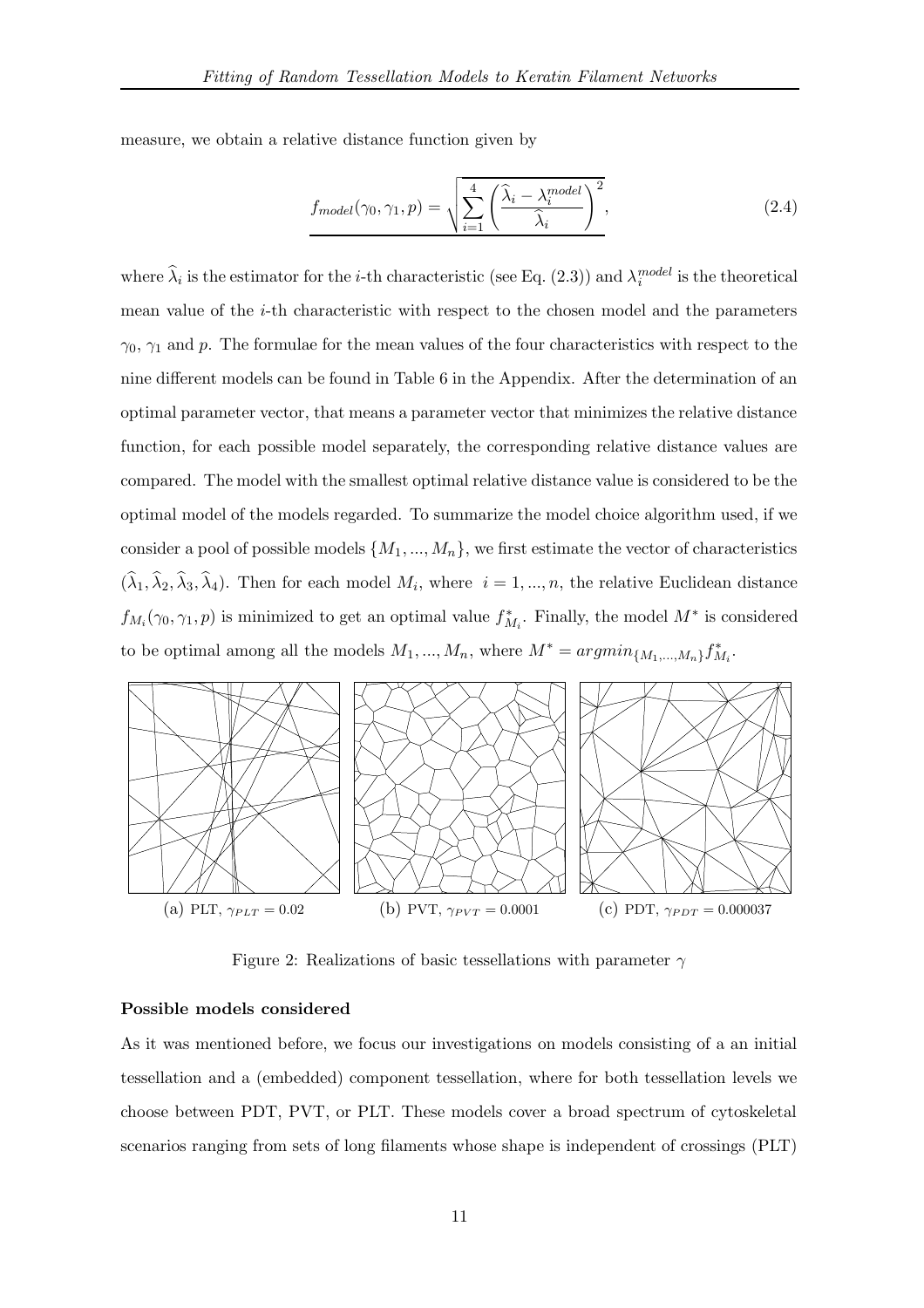measure, we obtain a relative distance function given by

$$
f_{model}(\gamma_0, \gamma_1, p) = \sqrt{\sum_{i=1}^{4} \left(\frac{\hat{\lambda}_i - \lambda_i^{model}}{\hat{\lambda}_i}\right)^2},
$$
\n(2.4)

where  $\hat{\lambda}_i$  is the estimator for the *i*-th characteristic (see Eq. (2.3)) and  $\lambda_i^{model}$  is the theoretical mean value of the i-th characteristic with respect to the chosen model and the parameters  $\gamma_0$ ,  $\gamma_1$  and p. The formulae for the mean values of the four characteristics with respect to the nine different models can be found in Table 6 in the Appendix. After the determination of an optimal parameter vector, that means a parameter vector that minimizes the relative distance function, for each possible model separately, the corresponding relative distance values are compared. The model with the smallest optimal relative distance value is considered to be the optimal model of the models regarded. To summarize the model choice algorithm used, if we consider a pool of possible models  $\{M_1, ..., M_n\}$ , we first estimate the vector of characteristics  $(\lambda_1, \lambda_2, \lambda_3, \lambda_4)$ . Then for each model  $M_i$ , where  $i = 1, ..., n$ , the relative Euclidean distance  $f_{M_i}(\gamma_0, \gamma_1, p)$  is minimized to get an optimal value  $f_{M_i}^*$ . Finally, the model  $M^*$  is considered to be optimal among all the models  $M_1, ..., M_n$ , where  $M^* = argmin_{\{M_1,...,M_n\}} f_{M_i}^*$ .



Figure 2: Realizations of basic tessellations with parameter  $\gamma$ 

## Possible models considered

As it was mentioned before, we focus our investigations on models consisting of a an initial tessellation and a (embedded) component tessellation, where for both tessellation levels we choose between PDT, PVT, or PLT. These models cover a broad spectrum of cytoskeletal scenarios ranging from sets of long filaments whose shape is independent of crossings (PLT)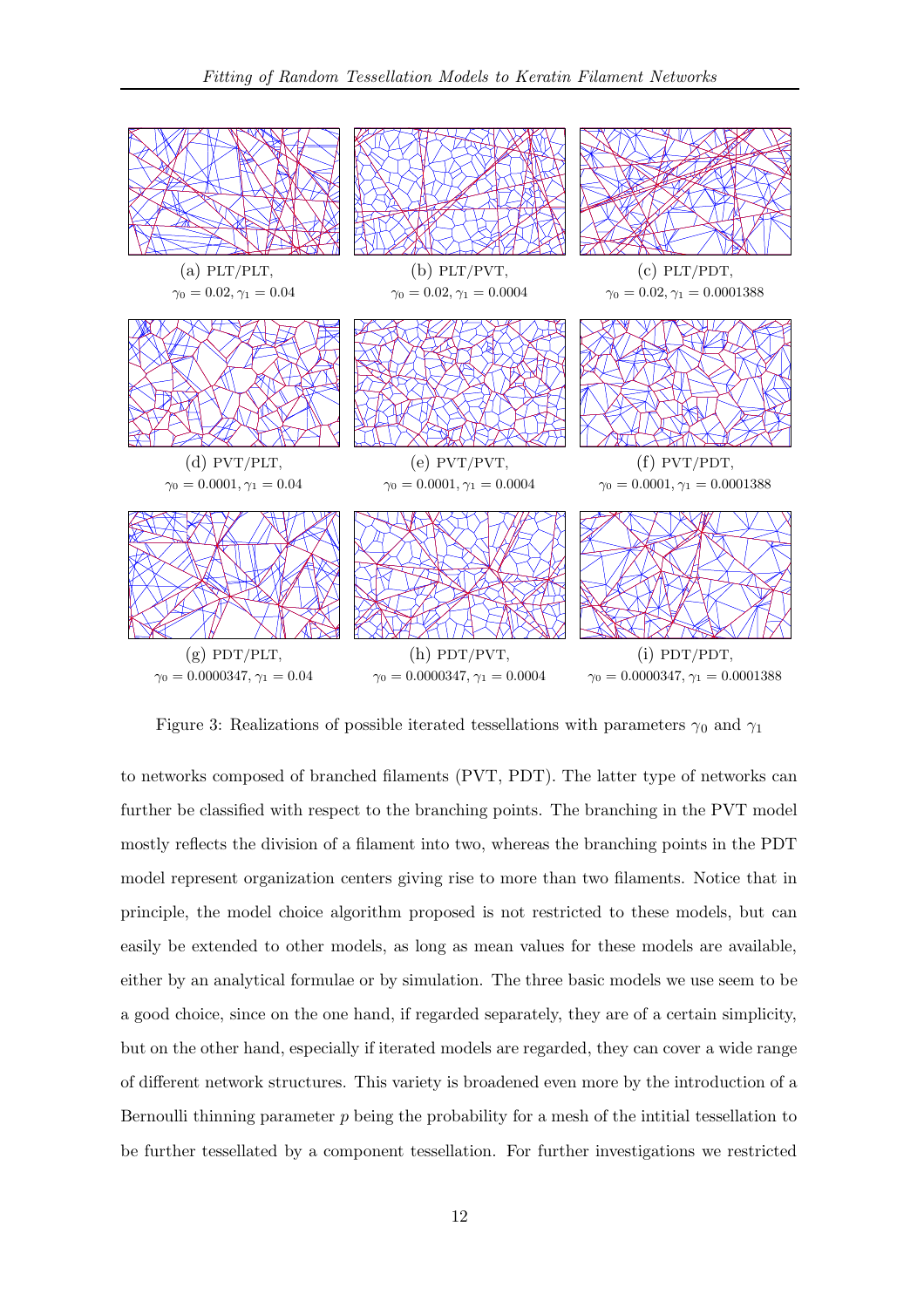

Figure 3: Realizations of possible iterated tessellations with parameters  $\gamma_0$  and  $\gamma_1$ 

to networks composed of branched filaments (PVT, PDT). The latter type of networks can further be classified with respect to the branching points. The branching in the PVT model mostly reflects the division of a filament into two, whereas the branching points in the PDT model represent organization centers giving rise to more than two filaments. Notice that in principle, the model choice algorithm proposed is not restricted to these models, but can easily be extended to other models, as long as mean values for these models are available, either by an analytical formulae or by simulation. The three basic models we use seem to be a good choice, since on the one hand, if regarded separately, they are of a certain simplicity, but on the other hand, especially if iterated models are regarded, they can cover a wide range of different network structures. This variety is broadened even more by the introduction of a Bernoulli thinning parameter  $p$  being the probability for a mesh of the intitial tessellation to be further tessellated by a component tessellation. For further investigations we restricted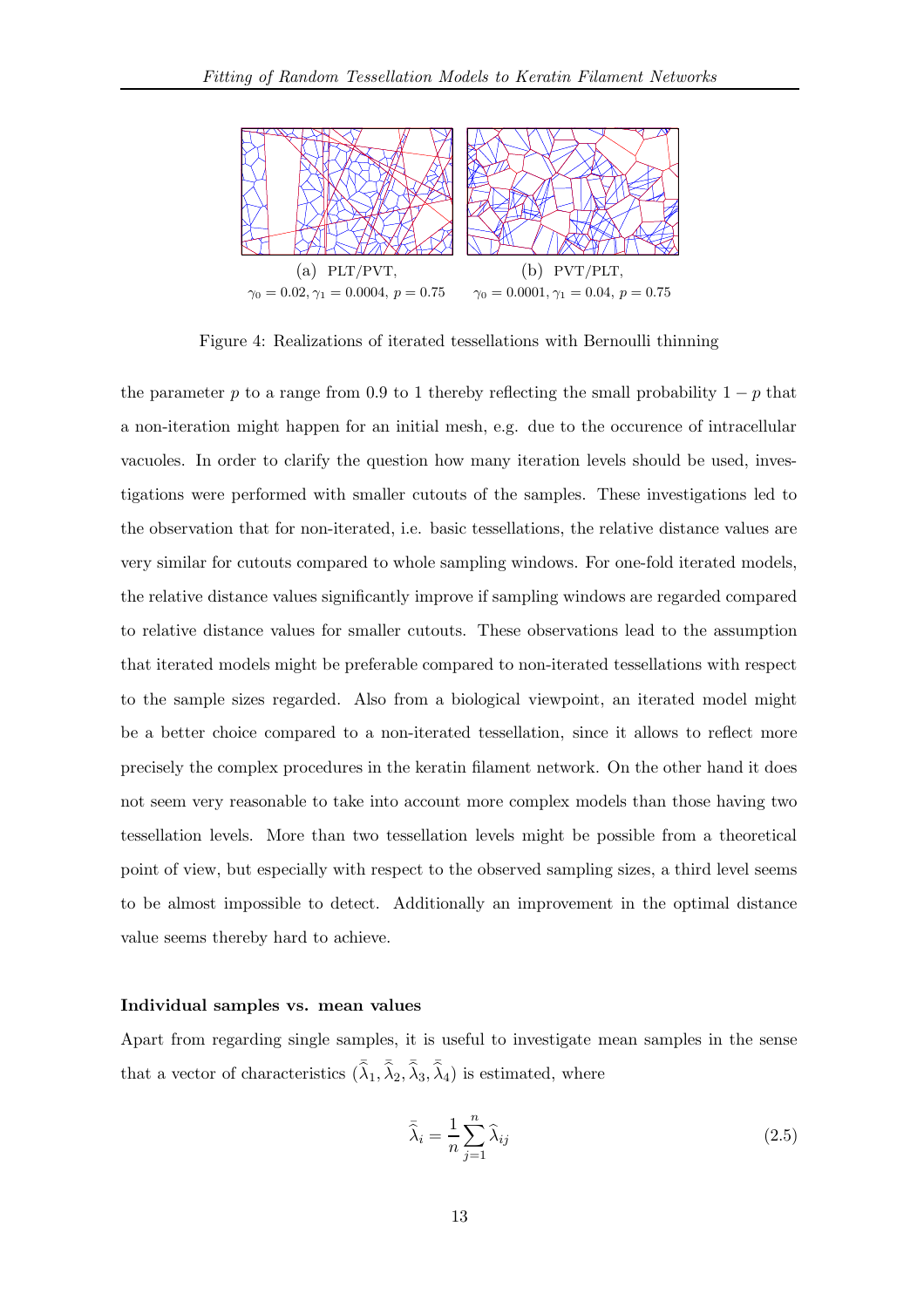

Figure 4: Realizations of iterated tessellations with Bernoulli thinning

the parameter p to a range from 0.9 to 1 thereby reflecting the small probability  $1 - p$  that a non-iteration might happen for an initial mesh, e.g. due to the occurence of intracellular vacuoles. In order to clarify the question how many iteration levels should be used, investigations were performed with smaller cutouts of the samples. These investigations led to the observation that for non-iterated, i.e. basic tessellations, the relative distance values are very similar for cutouts compared to whole sampling windows. For one-fold iterated models, the relative distance values significantly improve if sampling windows are regarded compared to relative distance values for smaller cutouts. These observations lead to the assumption that iterated models might be preferable compared to non-iterated tessellations with respect to the sample sizes regarded. Also from a biological viewpoint, an iterated model might be a better choice compared to a non-iterated tessellation, since it allows to reflect more precisely the complex procedures in the keratin filament network. On the other hand it does not seem very reasonable to take into account more complex models than those having two tessellation levels. More than two tessellation levels might be possible from a theoretical point of view, but especially with respect to the observed sampling sizes, a third level seems to be almost impossible to detect. Additionally an improvement in the optimal distance value seems thereby hard to achieve.

## Individual samples vs. mean values

Apart from regarding single samples, it is useful to investigate mean samples in the sense that a vector of characteristics  $(\bar{\hat{\lambda}}_1, \bar{\hat{\lambda}}_2, \bar{\hat{\lambda}}_3, \bar{\hat{\lambda}}_4)$  is estimated, where

$$
\bar{\hat{\lambda}}_i = \frac{1}{n} \sum_{j=1}^n \hat{\lambda}_{ij}
$$
\n(2.5)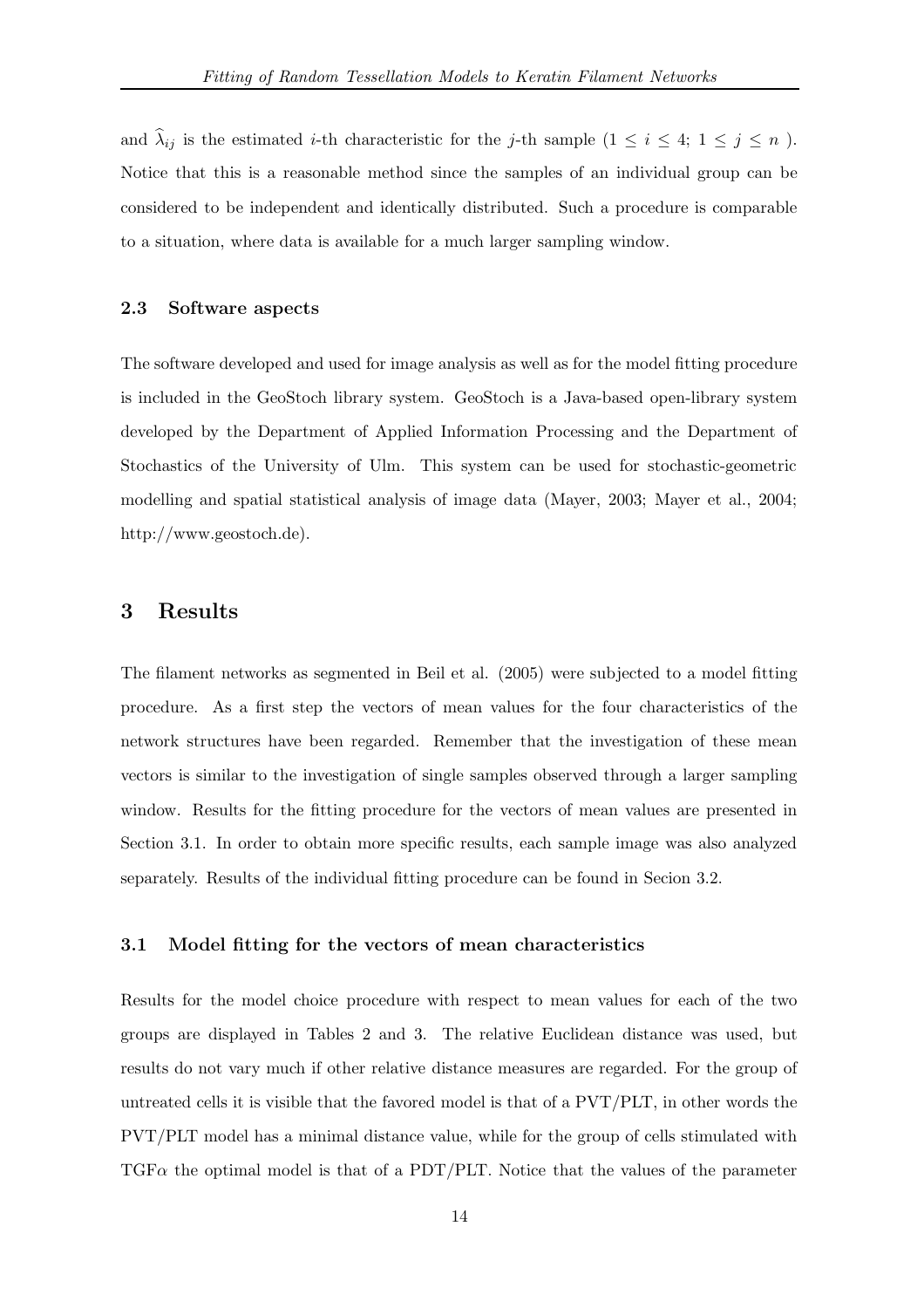and  $\hat{\lambda}_{ij}$  is the estimated *i*-th characteristic for the *j*-th sample (1  $\leq i \leq 4$ ; 1  $\leq j \leq n$ ). Notice that this is a reasonable method since the samples of an individual group can be considered to be independent and identically distributed. Such a procedure is comparable to a situation, where data is available for a much larger sampling window.

# 2.3 Software aspects

The software developed and used for image analysis as well as for the model fitting procedure is included in the GeoStoch library system. GeoStoch is a Java-based open-library system developed by the Department of Applied Information Processing and the Department of Stochastics of the University of Ulm. This system can be used for stochastic-geometric modelling and spatial statistical analysis of image data (Mayer, 2003; Mayer et al., 2004; http://www.geostoch.de).

# 3 Results

The filament networks as segmented in Beil et al. (2005) were subjected to a model fitting procedure. As a first step the vectors of mean values for the four characteristics of the network structures have been regarded. Remember that the investigation of these mean vectors is similar to the investigation of single samples observed through a larger sampling window. Results for the fitting procedure for the vectors of mean values are presented in Section 3.1. In order to obtain more specific results, each sample image was also analyzed separately. Results of the individual fitting procedure can be found in Secion 3.2.

# 3.1 Model fitting for the vectors of mean characteristics

Results for the model choice procedure with respect to mean values for each of the two groups are displayed in Tables 2 and 3. The relative Euclidean distance was used, but results do not vary much if other relative distance measures are regarded. For the group of untreated cells it is visible that the favored model is that of a PVT/PLT, in other words the PVT/PLT model has a minimal distance value, while for the group of cells stimulated with  $TGF\alpha$  the optimal model is that of a PDT/PLT. Notice that the values of the parameter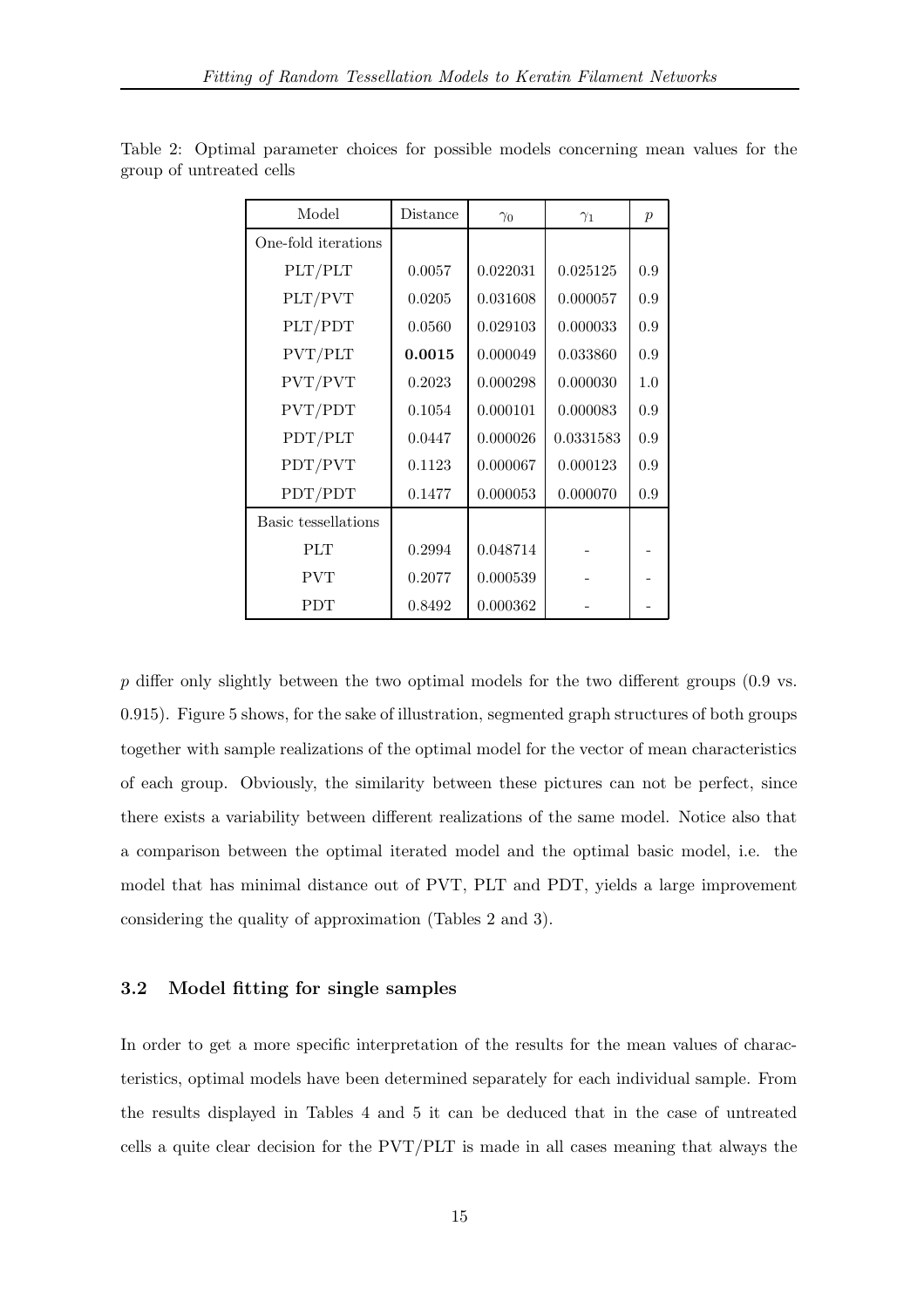| Model               | Distance | $\gamma_0$ | $\gamma_1$ | $\mathcal{p}$ |
|---------------------|----------|------------|------------|---------------|
| One-fold iterations |          |            |            |               |
| PLT/PLT             | 0.0057   | 0.022031   | 0.025125   | 0.9           |
| PLT/PVT             | 0.0205   | 0.031608   | 0.000057   | 0.9           |
| PLT/PDT             | 0.0560   | 0.029103   | 0.000033   | 0.9           |
| PVT/PLT             | 0.0015   | 0.000049   | 0.033860   | 0.9           |
| PVT/PVT             | 0.2023   | 0.000298   | 0.000030   | 1.0           |
| PVT/PDT             | 0.1054   | 0.000101   | 0.000083   | 0.9           |
| PDT/PLT             | 0.0447   | 0.000026   | 0.0331583  | 0.9           |
| PDT/PVT             | 0.1123   | 0.000067   | 0.000123   | 0.9           |
| PDT/PDT             | 0.1477   | 0.000053   | 0.000070   | 0.9           |
| Basic tessellations |          |            |            |               |
| <b>PLT</b>          | 0.2994   | 0.048714   |            |               |
| <b>PVT</b>          | 0.2077   | 0.000539   |            |               |
| <b>PDT</b>          | 0.8492   | 0.000362   |            |               |

Table 2: Optimal parameter choices for possible models concerning mean values for the group of untreated cells

 $p$  differ only slightly between the two optimal models for the two different groups (0.9 vs. 0.915). Figure 5 shows, for the sake of illustration, segmented graph structures of both groups together with sample realizations of the optimal model for the vector of mean characteristics of each group. Obviously, the similarity between these pictures can not be perfect, since there exists a variability between different realizations of the same model. Notice also that a comparison between the optimal iterated model and the optimal basic model, i.e. the model that has minimal distance out of PVT, PLT and PDT, yields a large improvement considering the quality of approximation (Tables 2 and 3).

## 3.2 Model fitting for single samples

In order to get a more specific interpretation of the results for the mean values of characteristics, optimal models have been determined separately for each individual sample. From the results displayed in Tables 4 and 5 it can be deduced that in the case of untreated cells a quite clear decision for the PVT/PLT is made in all cases meaning that always the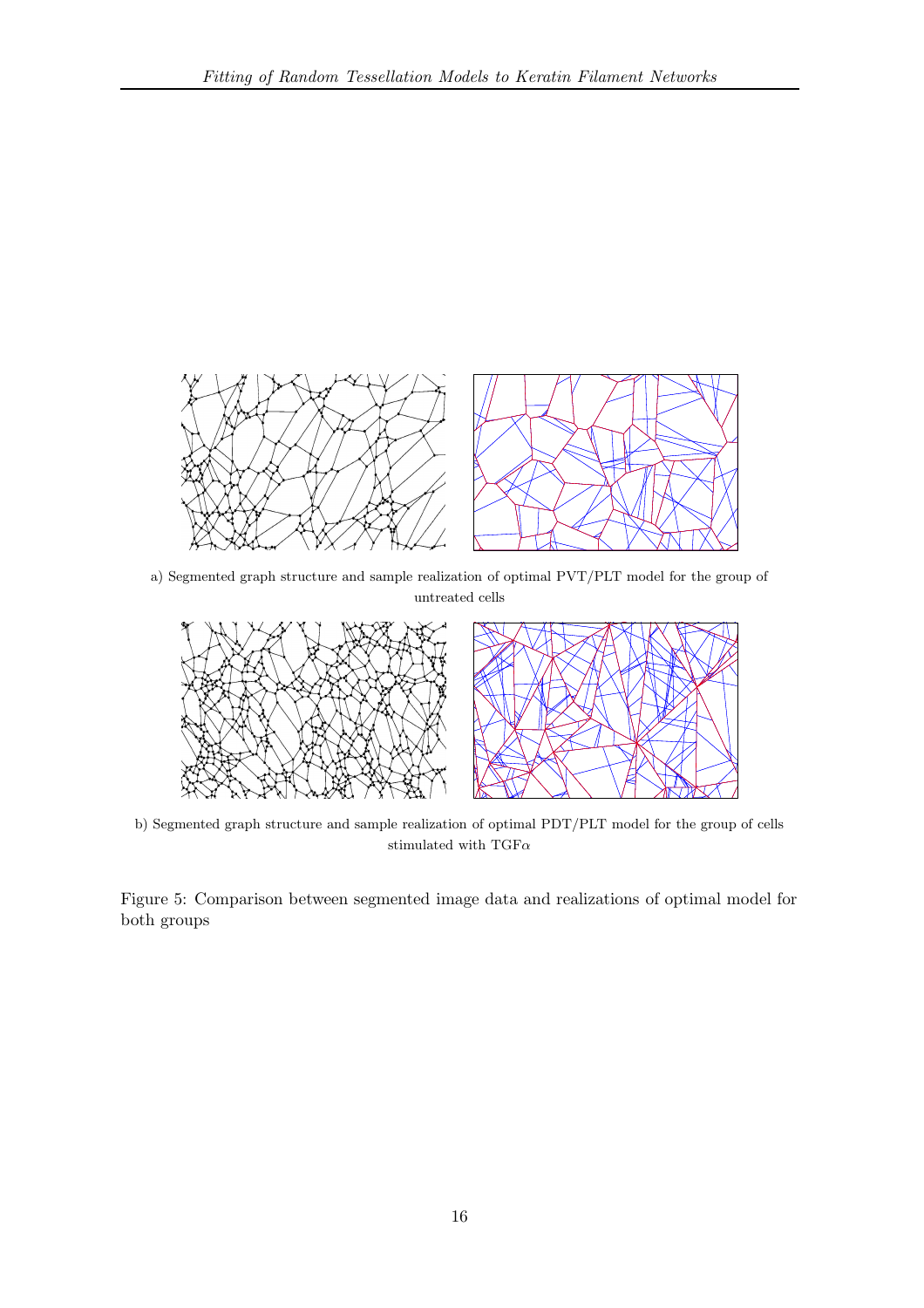

a) Segmented graph structure and sample realization of optimal PVT/PLT model for the group of untreated cells



b) Segmented graph structure and sample realization of optimal PDT/PLT model for the group of cells stimulated with  $\text{TGF}\alpha$ 

Figure 5: Comparison between segmented image data and realizations of optimal model for both groups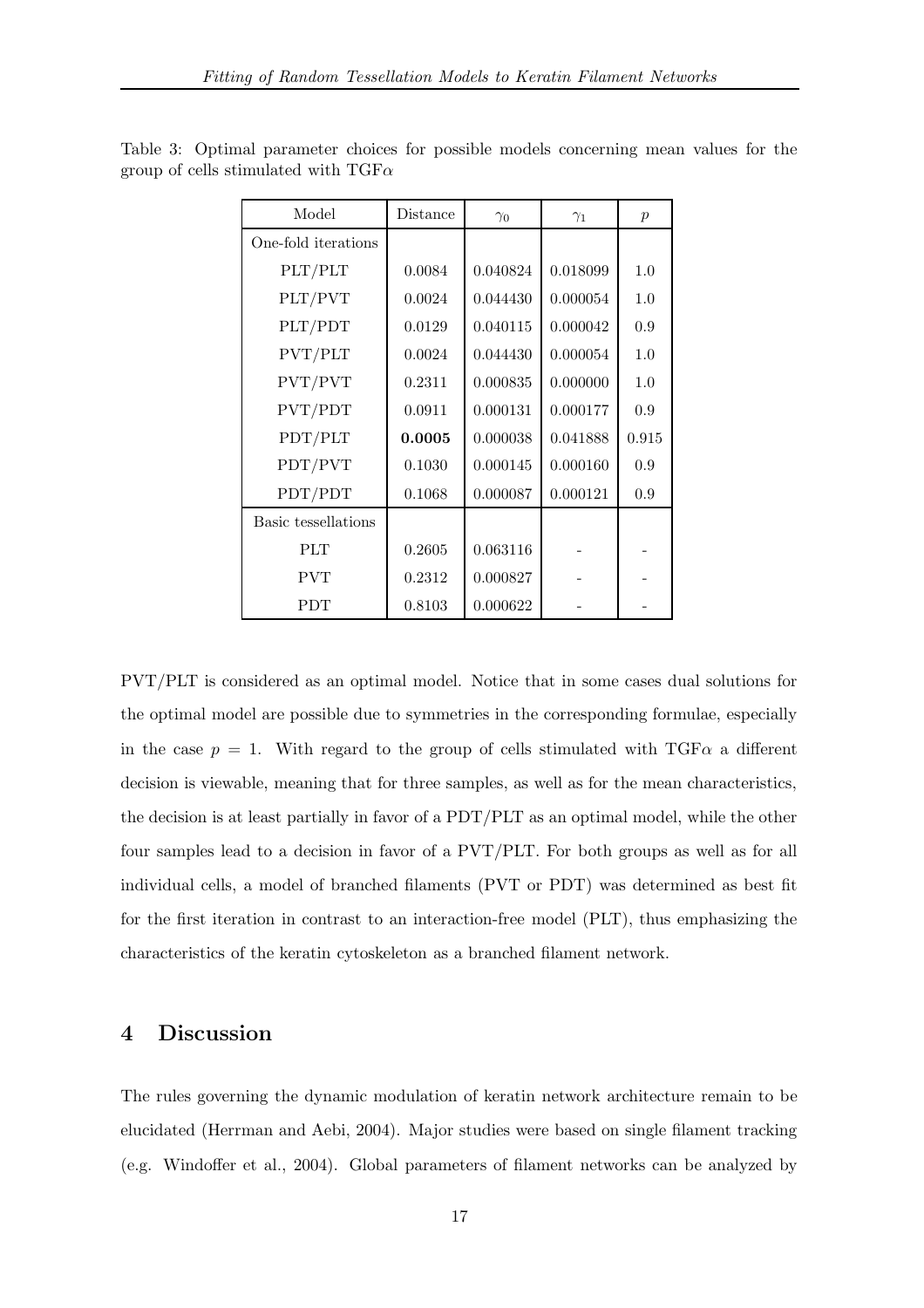| Model               | Distance | $\gamma_0$ | $\gamma_1$ | $\boldsymbol{p}$ |
|---------------------|----------|------------|------------|------------------|
| One-fold iterations |          |            |            |                  |
| PLT/PLT             | 0.0084   | 0.040824   | 0.018099   | 1.0              |
| PLT/PVT             | 0.0024   | 0.044430   | 0.000054   | 1.0              |
| PLT/PDT             | 0.0129   | 0.040115   | 0.000042   | 0.9              |
| PVT/PLT             | 0.0024   | 0.044430   | 0.000054   | 1.0              |
| PVT/PVT             | 0.2311   | 0.000835   | 0.000000   | 1.0              |
| PVT/PDT             | 0.0911   | 0.000131   | 0.000177   | 0.9              |
| PDT/PLT             | 0.0005   | 0.000038   | 0.041888   | 0.915            |
| PDT/PVT             | 0.1030   | 0.000145   | 0.000160   | 0.9              |
| PDT/PDT             | 0.1068   | 0.000087   | 0.000121   | 0.9              |
| Basic tessellations |          |            |            |                  |
| <b>PLT</b>          | 0.2605   | 0.063116   |            |                  |
| <b>PVT</b>          | 0.2312   | 0.000827   |            |                  |
| <b>PDT</b>          | 0.8103   | 0.000622   |            |                  |

Table 3: Optimal parameter choices for possible models concerning mean values for the group of cells stimulated with  $TGF\alpha$ 

PVT/PLT is considered as an optimal model. Notice that in some cases dual solutions for the optimal model are possible due to symmetries in the corresponding formulae, especially in the case  $p = 1$ . With regard to the group of cells stimulated with TGF $\alpha$  a different decision is viewable, meaning that for three samples, as well as for the mean characteristics, the decision is at least partially in favor of a PDT/PLT as an optimal model, while the other four samples lead to a decision in favor of a PVT/PLT. For both groups as well as for all individual cells, a model of branched filaments (PVT or PDT) was determined as best fit for the first iteration in contrast to an interaction-free model (PLT), thus emphasizing the characteristics of the keratin cytoskeleton as a branched filament network.

# 4 Discussion

The rules governing the dynamic modulation of keratin network architecture remain to be elucidated (Herrman and Aebi, 2004). Major studies were based on single filament tracking (e.g. Windoffer et al., 2004). Global parameters of filament networks can be analyzed by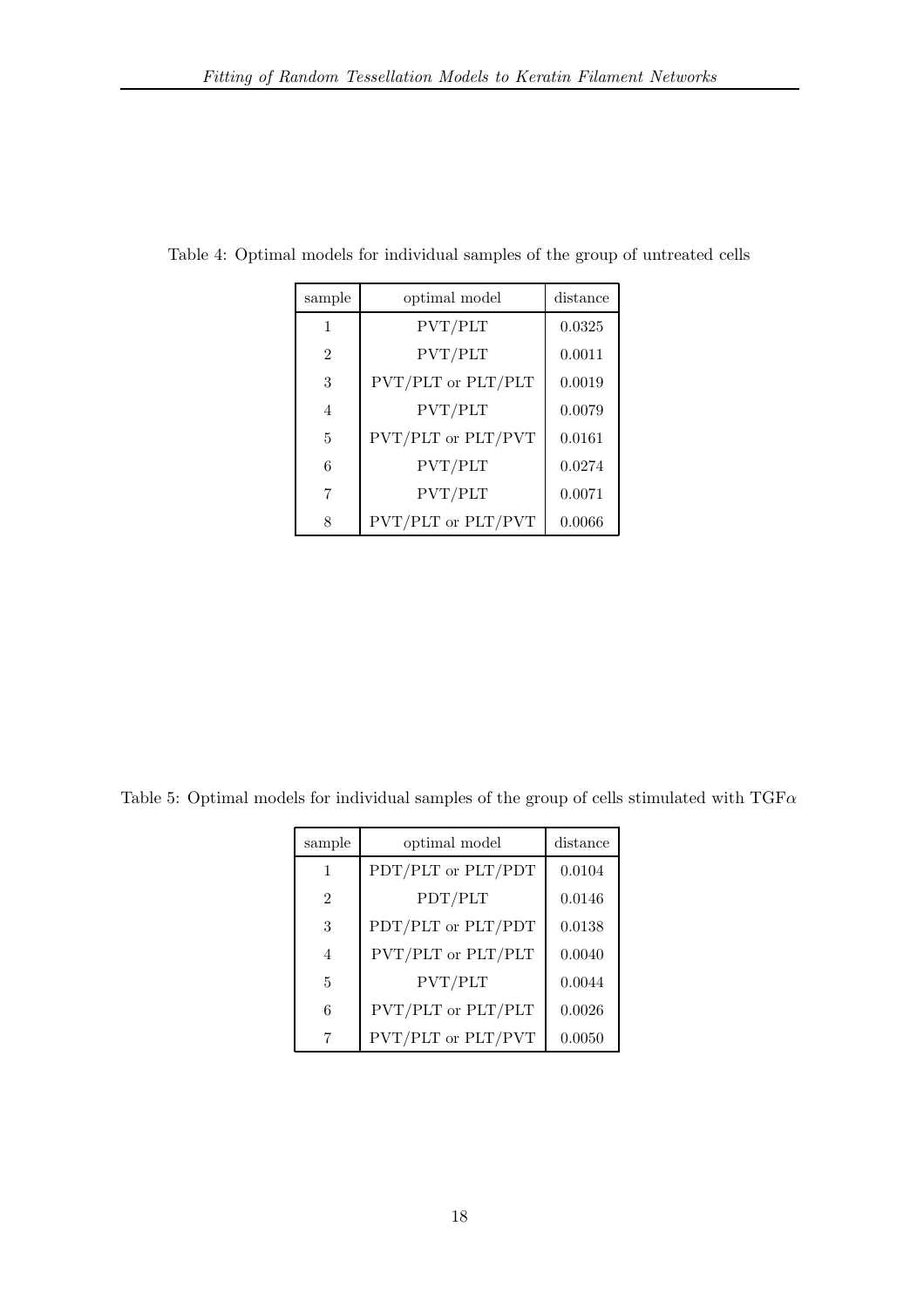| sample         | optimal model      | distance |
|----------------|--------------------|----------|
| 1              | PVT/PLT            | 0.0325   |
| $\mathfrak{D}$ | PVT/PLT            | 0.0011   |
| 3              | PVT/PLT or PLT/PLT | 0.0019   |
| 4              | PVT/PLT            | 0.0079   |
| 5              | PVT/PLT or PLT/PVT | 0.0161   |
| 6              | PVT/PLT            | 0.0274   |
| 7              | PVT/PLT            | 0.0071   |
| 8              | PVT/PLT or PLT/PVT | 0.0066   |

Table 4: Optimal models for individual samples of the group of untreated cells

Table 5: Optimal models for individual samples of the group of cells stimulated with  $TGF\alpha$ 

| sample         | optimal model      | distance |
|----------------|--------------------|----------|
| 1              | PDT/PLT or PLT/PDT | 0.0104   |
| $\mathfrak{D}$ | PDT/PLT            | 0.0146   |
| 3              | PDT/PLT or PLT/PDT | 0.0138   |
| $\overline{4}$ | PVT/PLT or PLT/PLT | 0.0040   |
| 5              | PVT/PLT            | 0.0044   |
| 6              | PVT/PLT or PLT/PLT | 0.0026   |
| 7              | PVT/PLT or PLT/PVT | 0.0050   |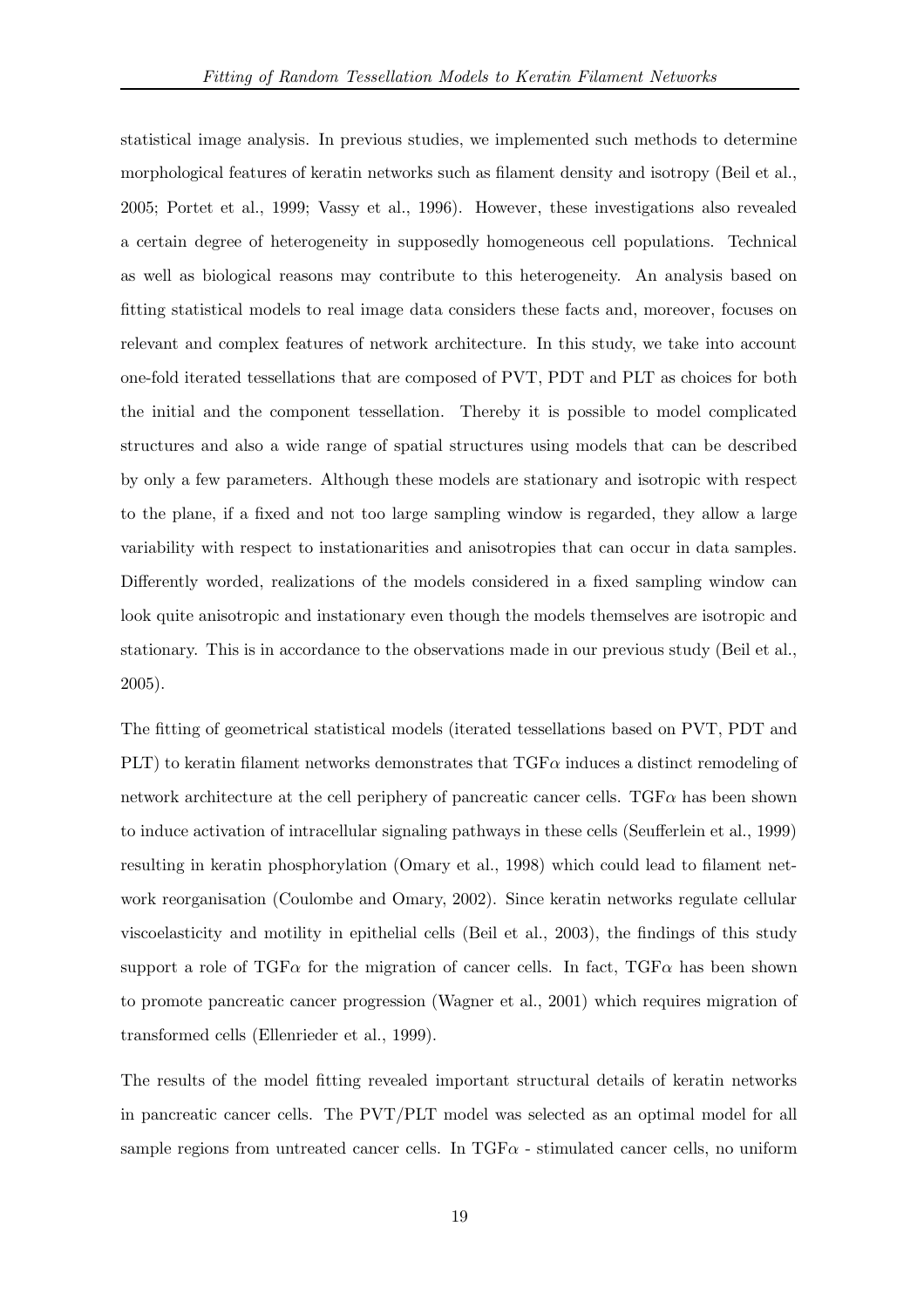statistical image analysis. In previous studies, we implemented such methods to determine morphological features of keratin networks such as filament density and isotropy (Beil et al., 2005; Portet et al., 1999; Vassy et al., 1996). However, these investigations also revealed a certain degree of heterogeneity in supposedly homogeneous cell populations. Technical as well as biological reasons may contribute to this heterogeneity. An analysis based on fitting statistical models to real image data considers these facts and, moreover, focuses on relevant and complex features of network architecture. In this study, we take into account one-fold iterated tessellations that are composed of PVT, PDT and PLT as choices for both the initial and the component tessellation. Thereby it is possible to model complicated structures and also a wide range of spatial structures using models that can be described by only a few parameters. Although these models are stationary and isotropic with respect to the plane, if a fixed and not too large sampling window is regarded, they allow a large variability with respect to instationarities and anisotropies that can occur in data samples. Differently worded, realizations of the models considered in a fixed sampling window can look quite anisotropic and instationary even though the models themselves are isotropic and stationary. This is in accordance to the observations made in our previous study (Beil et al., 2005).

The fitting of geometrical statistical models (iterated tessellations based on PVT, PDT and PLT) to keratin filament networks demonstrates that  $TGF\alpha$  induces a distinct remodeling of network architecture at the cell periphery of pancreatic cancer cells.  $TGF\alpha$  has been shown to induce activation of intracellular signaling pathways in these cells (Seufferlein et al., 1999) resulting in keratin phosphorylation (Omary et al., 1998) which could lead to filament network reorganisation (Coulombe and Omary, 2002). Since keratin networks regulate cellular viscoelasticity and motility in epithelial cells (Beil et al., 2003), the findings of this study support a role of TGF $\alpha$  for the migration of cancer cells. In fact, TGF $\alpha$  has been shown to promote pancreatic cancer progression (Wagner et al., 2001) which requires migration of transformed cells (Ellenrieder et al., 1999).

The results of the model fitting revealed important structural details of keratin networks in pancreatic cancer cells. The PVT/PLT model was selected as an optimal model for all sample regions from untreated cancer cells. In  $TGF\alpha$  - stimulated cancer cells, no uniform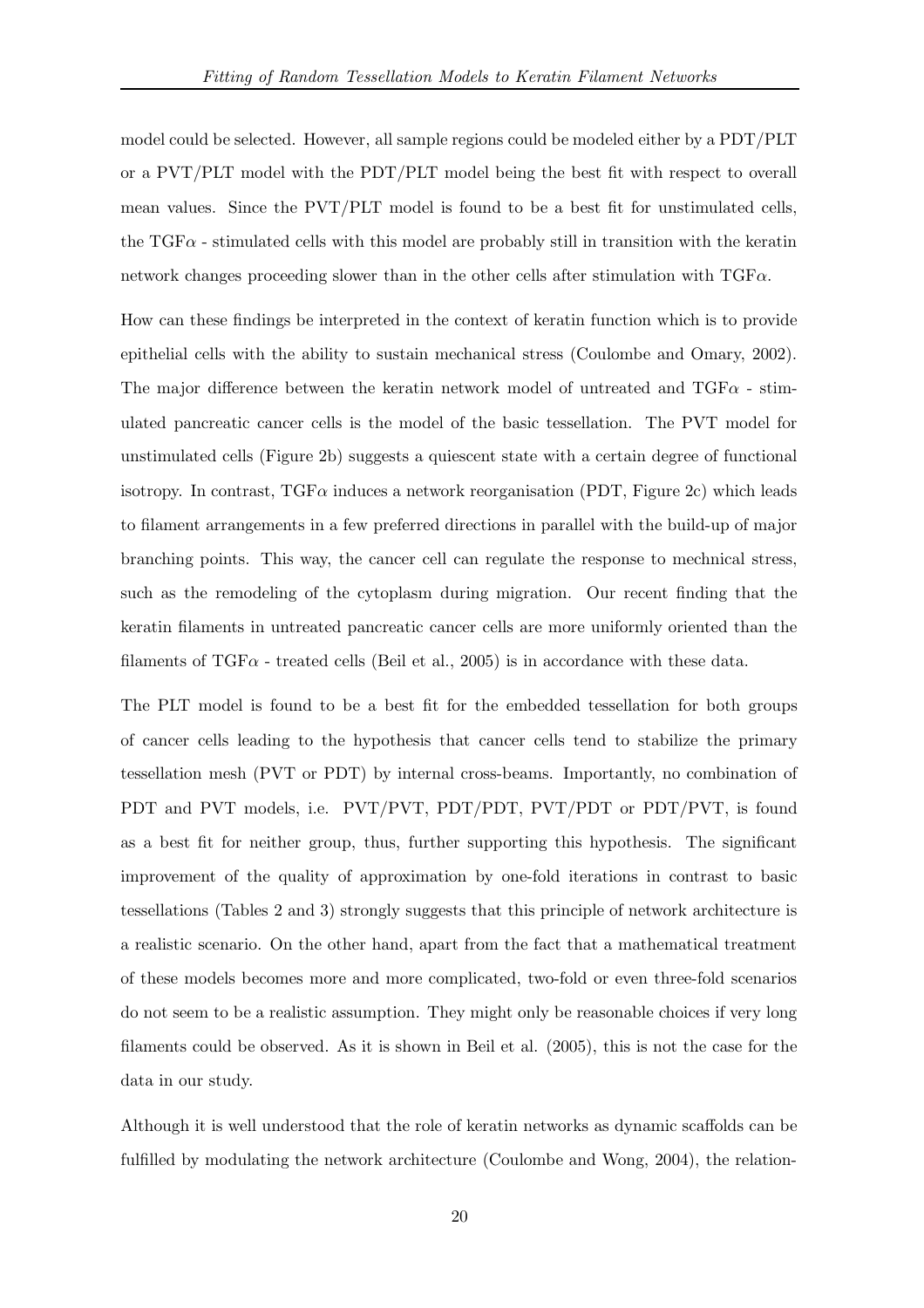model could be selected. However, all sample regions could be modeled either by a PDT/PLT or a PVT/PLT model with the PDT/PLT model being the best fit with respect to overall mean values. Since the PVT/PLT model is found to be a best fit for unstimulated cells, the  $TGF\alpha$  - stimulated cells with this model are probably still in transition with the keratin network changes proceeding slower than in the other cells after stimulation with  $TGF\alpha$ .

How can these findings be interpreted in the context of keratin function which is to provide epithelial cells with the ability to sustain mechanical stress (Coulombe and Omary, 2002). The major difference between the keratin network model of untreated and  $TGF\alpha$  - stimulated pancreatic cancer cells is the model of the basic tessellation. The PVT model for unstimulated cells (Figure 2b) suggests a quiescent state with a certain degree of functional isotropy. In contrast,  $TGF\alpha$  induces a network reorganisation (PDT, Figure 2c) which leads to filament arrangements in a few preferred directions in parallel with the build-up of major branching points. This way, the cancer cell can regulate the response to mechnical stress, such as the remodeling of the cytoplasm during migration. Our recent finding that the keratin filaments in untreated pancreatic cancer cells are more uniformly oriented than the filaments of TGF $\alpha$  - treated cells (Beil et al., 2005) is in accordance with these data.

The PLT model is found to be a best fit for the embedded tessellation for both groups of cancer cells leading to the hypothesis that cancer cells tend to stabilize the primary tessellation mesh (PVT or PDT) by internal cross-beams. Importantly, no combination of PDT and PVT models, i.e. PVT/PVT, PDT/PDT, PVT/PDT or PDT/PVT, is found as a best fit for neither group, thus, further supporting this hypothesis. The significant improvement of the quality of approximation by one-fold iterations in contrast to basic tessellations (Tables 2 and 3) strongly suggests that this principle of network architecture is a realistic scenario. On the other hand, apart from the fact that a mathematical treatment of these models becomes more and more complicated, two-fold or even three-fold scenarios do not seem to be a realistic assumption. They might only be reasonable choices if very long filaments could be observed. As it is shown in Beil et al. (2005), this is not the case for the data in our study.

Although it is well understood that the role of keratin networks as dynamic scaffolds can be fulfilled by modulating the network architecture (Coulombe and Wong, 2004), the relation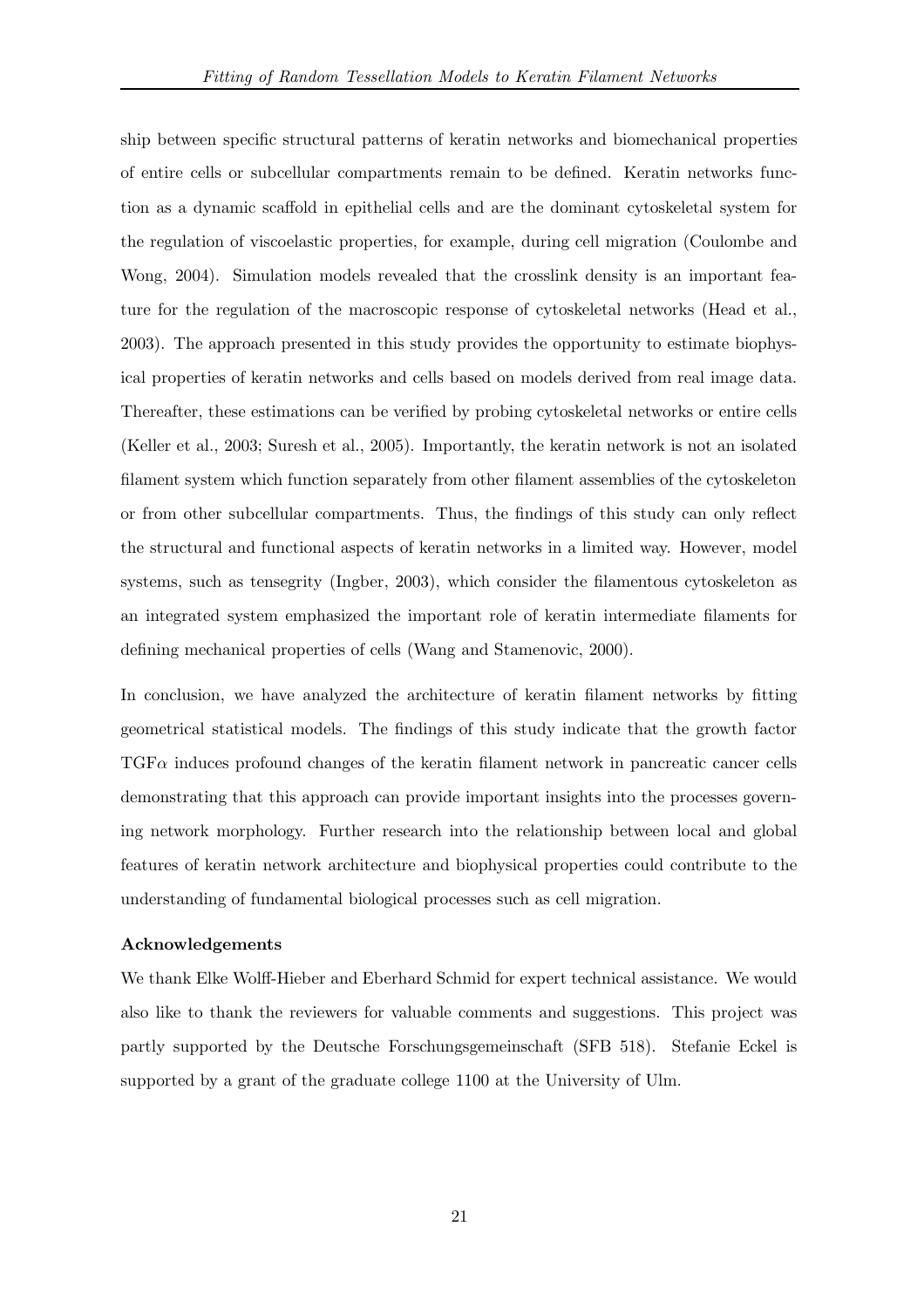ship between specific structural patterns of keratin networks and biomechanical properties of entire cells or subcellular compartments remain to be defined. Keratin networks function as a dynamic scaffold in epithelial cells and are the dominant cytoskeletal system for the regulation of viscoelastic properties, for example, during cell migration (Coulombe and Wong, 2004). Simulation models revealed that the crosslink density is an important feature for the regulation of the macroscopic response of cytoskeletal networks (Head et al., 2003). The approach presented in this study provides the opportunity to estimate biophysical properties of keratin networks and cells based on models derived from real image data. Thereafter, these estimations can be verified by probing cytoskeletal networks or entire cells (Keller et al., 2003; Suresh et al., 2005). Importantly, the keratin network is not an isolated filament system which function separately from other filament assemblies of the cytoskeleton or from other subcellular compartments. Thus, the findings of this study can only reflect the structural and functional aspects of keratin networks in a limited way. However, model systems, such as tensegrity (Ingber, 2003), which consider the filamentous cytoskeleton as an integrated system emphasized the important role of keratin intermediate filaments for defining mechanical properties of cells (Wang and Stamenovic, 2000).

In conclusion, we have analyzed the architecture of keratin filament networks by fitting geometrical statistical models. The findings of this study indicate that the growth factor TGFα induces profound changes of the keratin filament network in pancreatic cancer cells demonstrating that this approach can provide important insights into the processes governing network morphology. Further research into the relationship between local and global features of keratin network architecture and biophysical properties could contribute to the understanding of fundamental biological processes such as cell migration.

# Acknowledgements

We thank Elke Wolff-Hieber and Eberhard Schmid for expert technical assistance. We would also like to thank the reviewers for valuable comments and suggestions. This project was partly supported by the Deutsche Forschungsgemeinschaft (SFB 518). Stefanie Eckel is supported by a grant of the graduate college 1100 at the University of Ulm.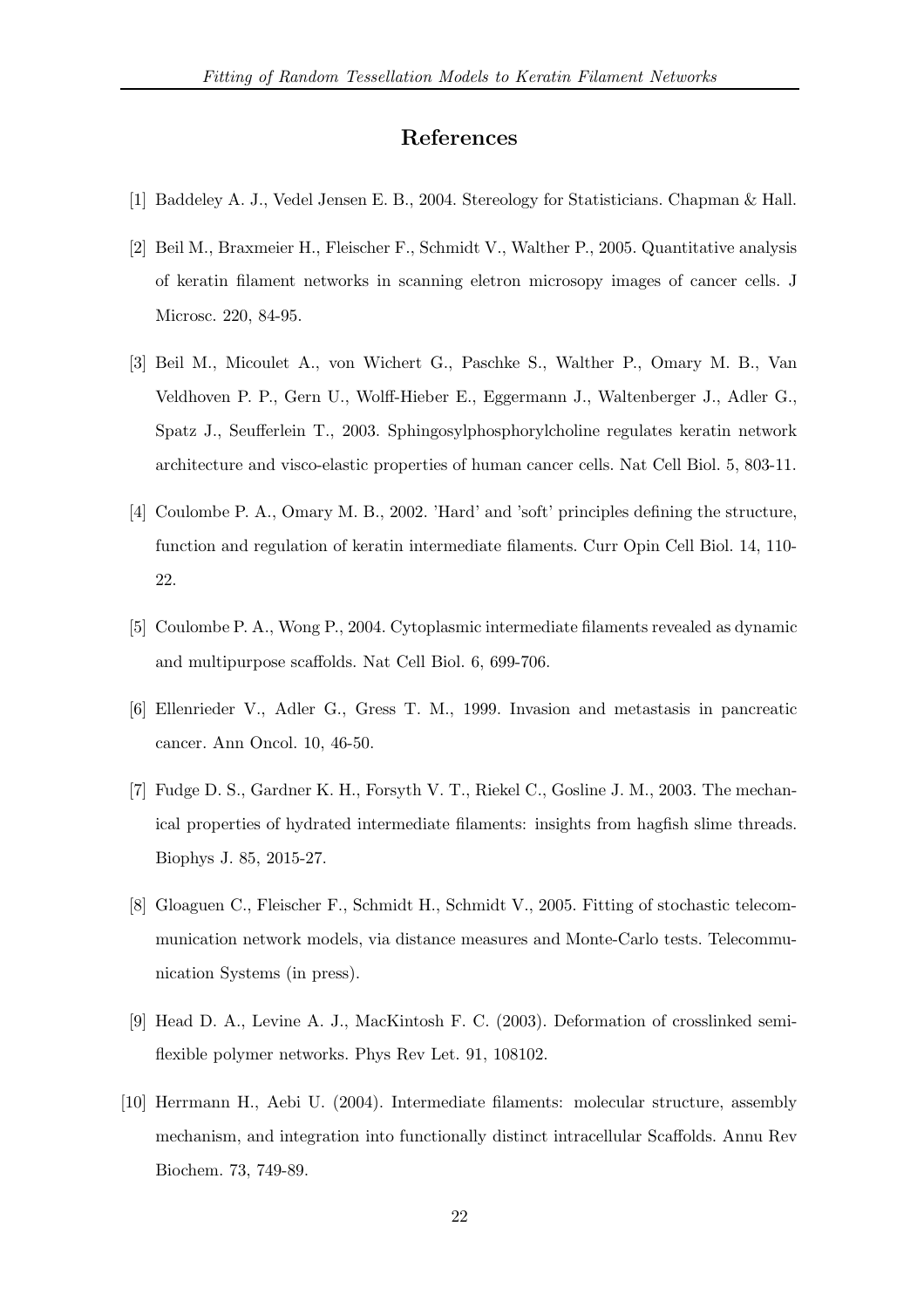# References

- [1] Baddeley A. J., Vedel Jensen E. B., 2004. Stereology for Statisticians. Chapman & Hall.
- [2] Beil M., Braxmeier H., Fleischer F., Schmidt V., Walther P., 2005. Quantitative analysis of keratin filament networks in scanning eletron microsopy images of cancer cells. J Microsc. 220, 84-95.
- [3] Beil M., Micoulet A., von Wichert G., Paschke S., Walther P., Omary M. B., Van Veldhoven P. P., Gern U., Wolff-Hieber E., Eggermann J., Waltenberger J., Adler G., Spatz J., Seufferlein T., 2003. Sphingosylphosphorylcholine regulates keratin network architecture and visco-elastic properties of human cancer cells. Nat Cell Biol. 5, 803-11.
- [4] Coulombe P. A., Omary M. B., 2002. 'Hard' and 'soft' principles defining the structure, function and regulation of keratin intermediate filaments. Curr Opin Cell Biol. 14, 110- 22.
- [5] Coulombe P. A., Wong P., 2004. Cytoplasmic intermediate filaments revealed as dynamic and multipurpose scaffolds. Nat Cell Biol. 6, 699-706.
- [6] Ellenrieder V., Adler G., Gress T. M., 1999. Invasion and metastasis in pancreatic cancer. Ann Oncol. 10, 46-50.
- [7] Fudge D. S., Gardner K. H., Forsyth V. T., Riekel C., Gosline J. M., 2003. The mechanical properties of hydrated intermediate filaments: insights from hagfish slime threads. Biophys J. 85, 2015-27.
- [8] Gloaguen C., Fleischer F., Schmidt H., Schmidt V., 2005. Fitting of stochastic telecommunication network models, via distance measures and Monte-Carlo tests. Telecommunication Systems (in press).
- [9] Head D. A., Levine A. J., MacKintosh F. C. (2003). Deformation of crosslinked semiflexible polymer networks. Phys Rev Let. 91, 108102.
- [10] Herrmann H., Aebi U. (2004). Intermediate filaments: molecular structure, assembly mechanism, and integration into functionally distinct intracellular Scaffolds. Annu Rev Biochem. 73, 749-89.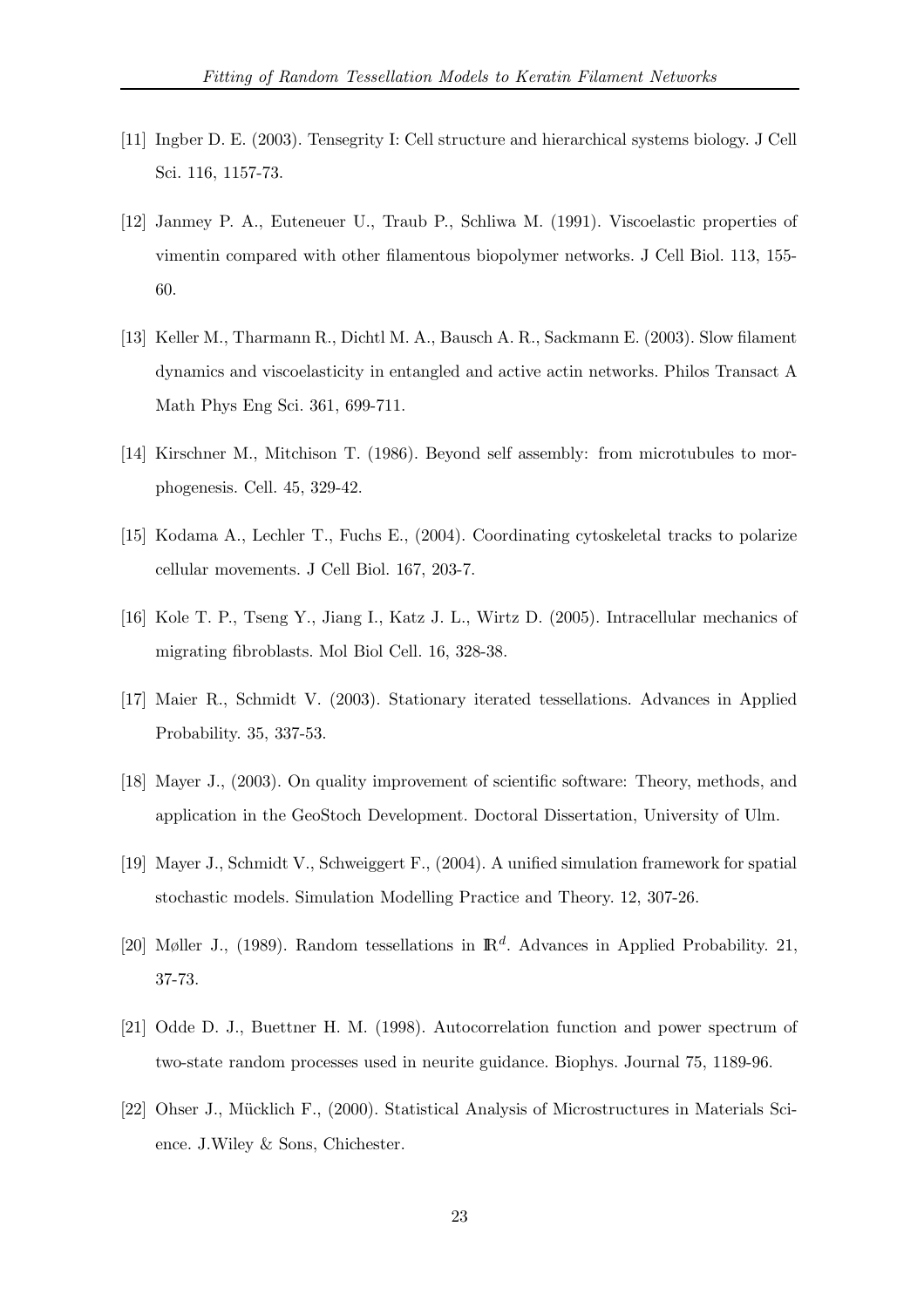- [11] Ingber D. E. (2003). Tensegrity I: Cell structure and hierarchical systems biology. J Cell Sci. 116, 1157-73.
- [12] Janmey P. A., Euteneuer U., Traub P., Schliwa M. (1991). Viscoelastic properties of vimentin compared with other filamentous biopolymer networks. J Cell Biol. 113, 155- 60.
- [13] Keller M., Tharmann R., Dichtl M. A., Bausch A. R., Sackmann E. (2003). Slow filament dynamics and viscoelasticity in entangled and active actin networks. Philos Transact A Math Phys Eng Sci. 361, 699-711.
- [14] Kirschner M., Mitchison T. (1986). Beyond self assembly: from microtubules to morphogenesis. Cell. 45, 329-42.
- [15] Kodama A., Lechler T., Fuchs E., (2004). Coordinating cytoskeletal tracks to polarize cellular movements. J Cell Biol. 167, 203-7.
- [16] Kole T. P., Tseng Y., Jiang I., Katz J. L., Wirtz D. (2005). Intracellular mechanics of migrating fibroblasts. Mol Biol Cell. 16, 328-38.
- [17] Maier R., Schmidt V. (2003). Stationary iterated tessellations. Advances in Applied Probability. 35, 337-53.
- [18] Mayer J., (2003). On quality improvement of scientific software: Theory, methods, and application in the GeoStoch Development. Doctoral Dissertation, University of Ulm.
- [19] Mayer J., Schmidt V., Schweiggert F., (2004). A unified simulation framework for spatial stochastic models. Simulation Modelling Practice and Theory. 12, 307-26.
- [20] Møller J., (1989). Random tessellations in  $\mathbb{R}^d$ . Advances in Applied Probability. 21, 37-73.
- [21] Odde D. J., Buettner H. M. (1998). Autocorrelation function and power spectrum of two-state random processes used in neurite guidance. Biophys. Journal 75, 1189-96.
- [22] Ohser J., Mücklich F., (2000). Statistical Analysis of Microstructures in Materials Science. J.Wiley & Sons, Chichester.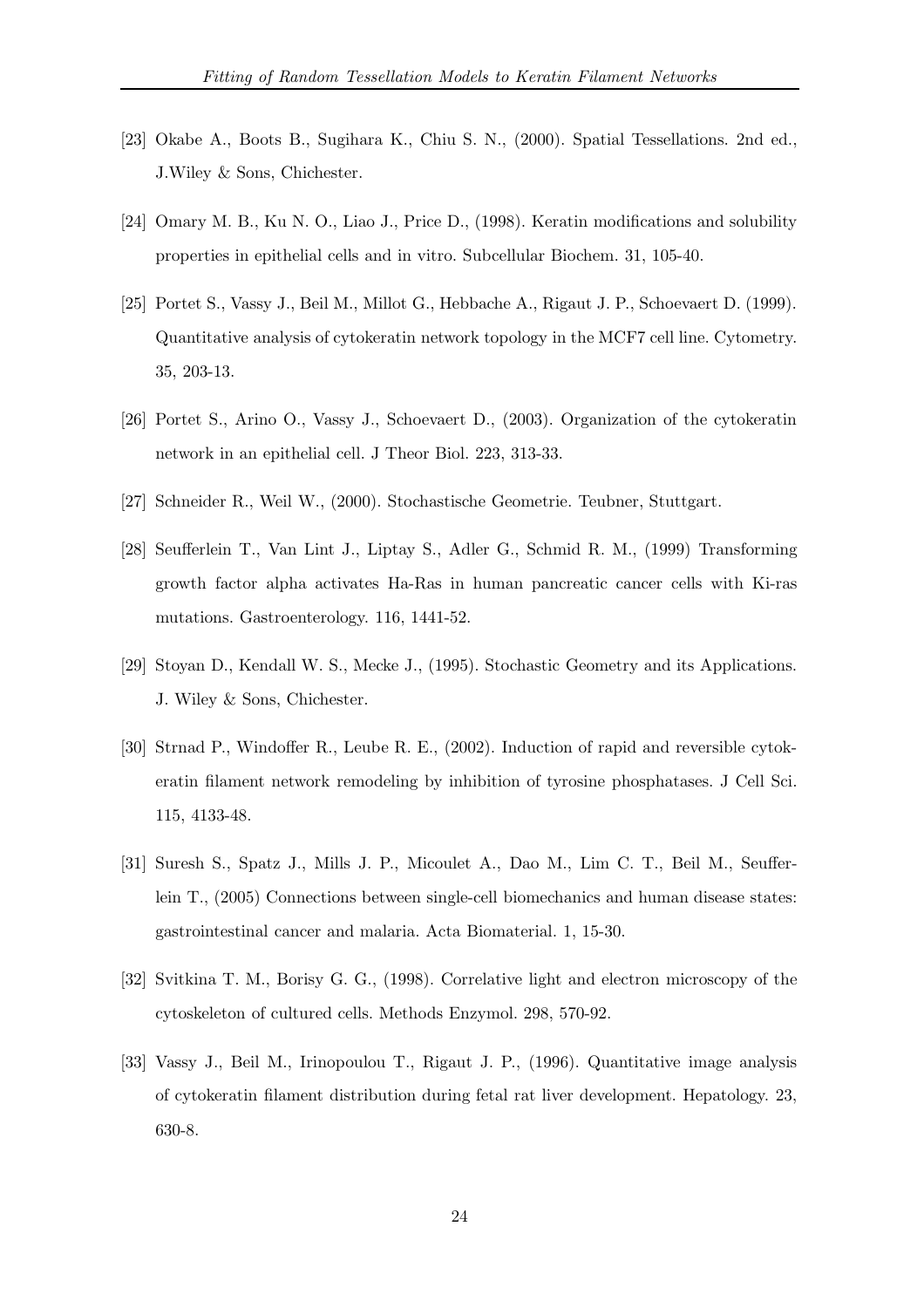- [23] Okabe A., Boots B., Sugihara K., Chiu S. N., (2000). Spatial Tessellations. 2nd ed., J.Wiley & Sons, Chichester.
- [24] Omary M. B., Ku N. O., Liao J., Price D., (1998). Keratin modifications and solubility properties in epithelial cells and in vitro. Subcellular Biochem. 31, 105-40.
- [25] Portet S., Vassy J., Beil M., Millot G., Hebbache A., Rigaut J. P., Schoevaert D. (1999). Quantitative analysis of cytokeratin network topology in the MCF7 cell line. Cytometry. 35, 203-13.
- [26] Portet S., Arino O., Vassy J., Schoevaert D., (2003). Organization of the cytokeratin network in an epithelial cell. J Theor Biol. 223, 313-33.
- [27] Schneider R., Weil W., (2000). Stochastische Geometrie. Teubner, Stuttgart.
- [28] Seufferlein T., Van Lint J., Liptay S., Adler G., Schmid R. M., (1999) Transforming growth factor alpha activates Ha-Ras in human pancreatic cancer cells with Ki-ras mutations. Gastroenterology. 116, 1441-52.
- [29] Stoyan D., Kendall W. S., Mecke J., (1995). Stochastic Geometry and its Applications. J. Wiley & Sons, Chichester.
- [30] Strnad P., Windoffer R., Leube R. E., (2002). Induction of rapid and reversible cytokeratin filament network remodeling by inhibition of tyrosine phosphatases. J Cell Sci. 115, 4133-48.
- [31] Suresh S., Spatz J., Mills J. P., Micoulet A., Dao M., Lim C. T., Beil M., Seufferlein T., (2005) Connections between single-cell biomechanics and human disease states: gastrointestinal cancer and malaria. Acta Biomaterial. 1, 15-30.
- [32] Svitkina T. M., Borisy G. G., (1998). Correlative light and electron microscopy of the cytoskeleton of cultured cells. Methods Enzymol. 298, 570-92.
- [33] Vassy J., Beil M., Irinopoulou T., Rigaut J. P., (1996). Quantitative image analysis of cytokeratin filament distribution during fetal rat liver development. Hepatology. 23, 630-8.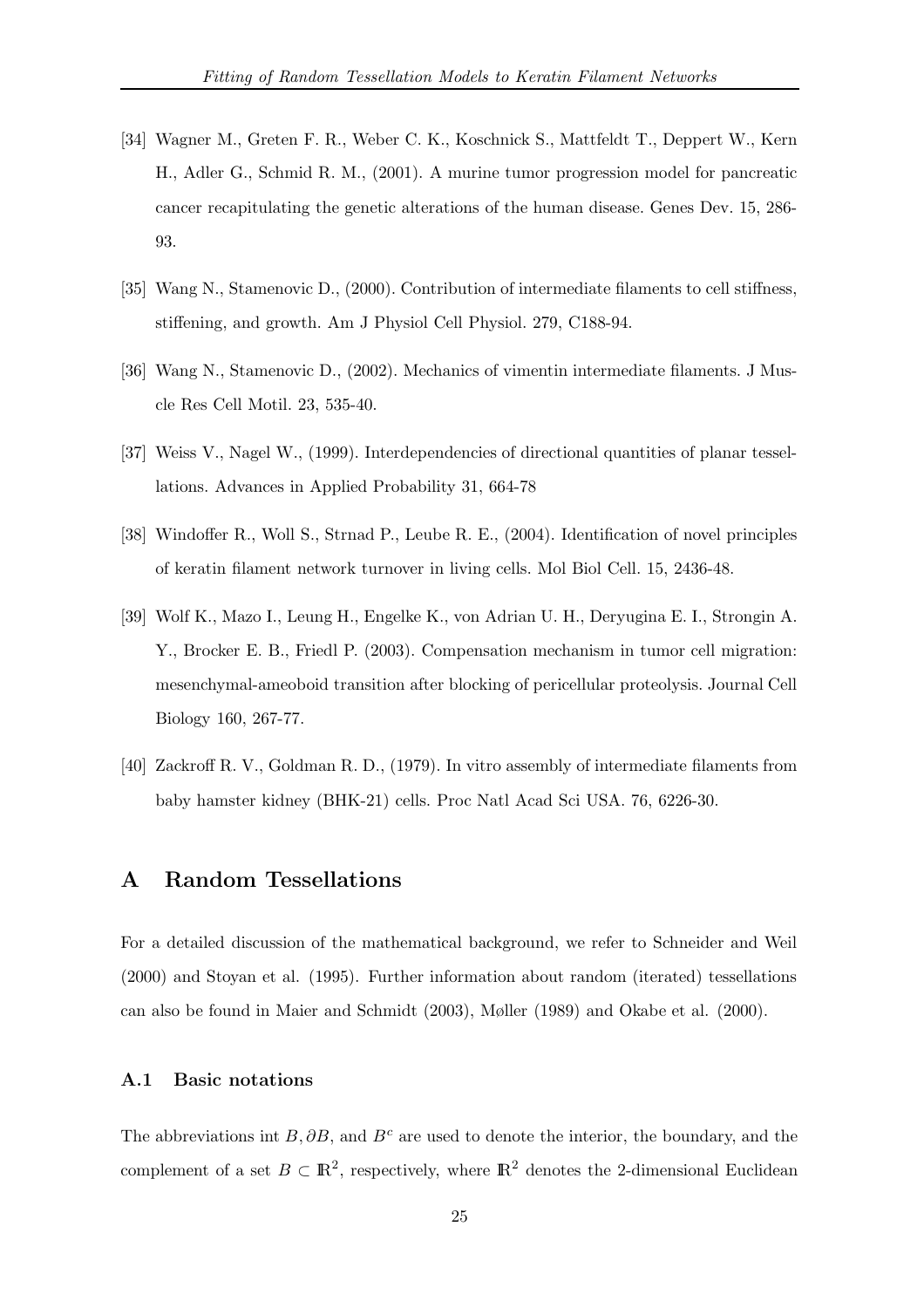- [34] Wagner M., Greten F. R., Weber C. K., Koschnick S., Mattfeldt T., Deppert W., Kern H., Adler G., Schmid R. M., (2001). A murine tumor progression model for pancreatic cancer recapitulating the genetic alterations of the human disease. Genes Dev. 15, 286- 93.
- [35] Wang N., Stamenovic D., (2000). Contribution of intermediate filaments to cell stiffness, stiffening, and growth. Am J Physiol Cell Physiol. 279, C188-94.
- [36] Wang N., Stamenovic D., (2002). Mechanics of vimentin intermediate filaments. J Muscle Res Cell Motil. 23, 535-40.
- [37] Weiss V., Nagel W., (1999). Interdependencies of directional quantities of planar tessellations. Advances in Applied Probability 31, 664-78
- [38] Windoffer R., Woll S., Strnad P., Leube R. E., (2004). Identification of novel principles of keratin filament network turnover in living cells. Mol Biol Cell. 15, 2436-48.
- [39] Wolf K., Mazo I., Leung H., Engelke K., von Adrian U. H., Deryugina E. I., Strongin A. Y., Brocker E. B., Friedl P. (2003). Compensation mechanism in tumor cell migration: mesenchymal-ameoboid transition after blocking of pericellular proteolysis. Journal Cell Biology 160, 267-77.
- [40] Zackroff R. V., Goldman R. D., (1979). In vitro assembly of intermediate filaments from baby hamster kidney (BHK-21) cells. Proc Natl Acad Sci USA. 76, 6226-30.

# A Random Tessellations

For a detailed discussion of the mathematical background, we refer to Schneider and Weil (2000) and Stoyan et al. (1995). Further information about random (iterated) tessellations can also be found in Maier and Schmidt (2003), Møller (1989) and Okabe et al. (2000).

# A.1 Basic notations

The abbreviations int B,  $\partial B$ , and B<sup>c</sup> are used to denote the interior, the boundary, and the complement of a set  $B \subset \mathbb{R}^2$ , respectively, where  $\mathbb{R}^2$  denotes the 2-dimensional Euclidean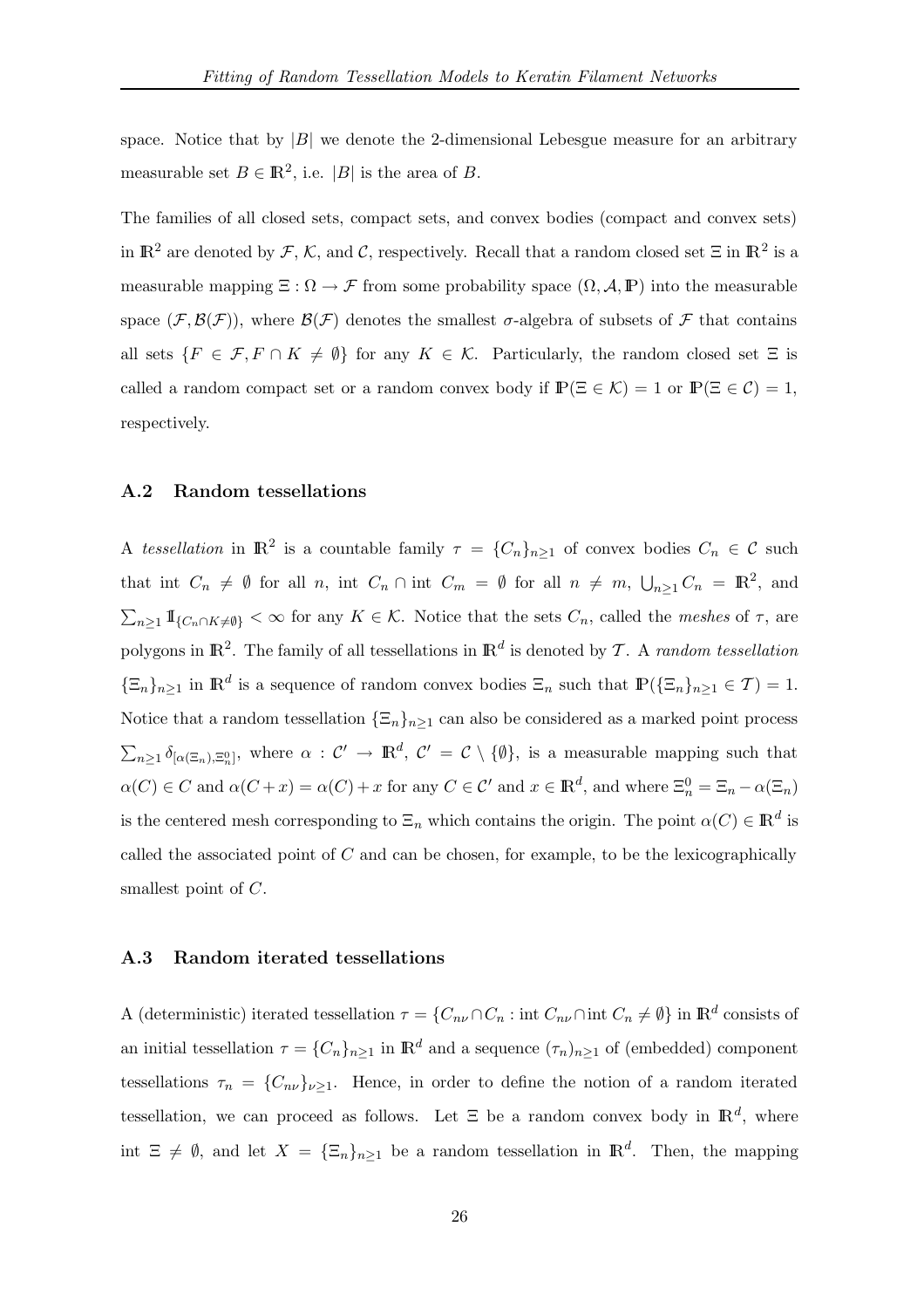space. Notice that by  $|B|$  we denote the 2-dimensional Lebesgue measure for an arbitrary measurable set  $B \in \mathbb{R}^2$ , i.e. |B| is the area of B.

The families of all closed sets, compact sets, and convex bodies (compact and convex sets) in  $\mathbb{R}^2$  are denoted by  $\mathcal{F}, \mathcal{K}$ , and  $\mathcal{C}$ , respectively. Recall that a random closed set  $\Xi$  in  $\mathbb{R}^2$  is a measurable mapping  $\Xi : \Omega \to \mathcal{F}$  from some probability space  $(\Omega, \mathcal{A}, \mathbb{P})$  into the measurable space  $(\mathcal{F}, \mathcal{B}(\mathcal{F}))$ , where  $\mathcal{B}(\mathcal{F})$  denotes the smallest  $\sigma$ -algebra of subsets of  $\mathcal F$  that contains all sets  $\{F \in \mathcal{F}, F \cap K \neq \emptyset\}$  for any  $K \in \mathcal{K}$ . Particularly, the random closed set  $\Xi$  is called a random compact set or a random convex body if  $\mathbb{P}(\Xi \in \mathcal{K}) = 1$  or  $\mathbb{P}(\Xi \in \mathcal{C}) = 1$ , respectively.

## A.2 Random tessellations

A tessellation in  $\mathbb{R}^2$  is a countable family  $\tau = \{C_n\}_{n\geq 1}$  of convex bodies  $C_n \in \mathcal{C}$  such that int  $C_n \neq \emptyset$  for all n, int  $C_n \cap \text{int } C_m = \emptyset$  for all  $n \neq m$ ,  $\bigcup_{n \geq 1} C_n = \mathbb{R}^2$ , and  $\sum_{n\geq 1} \mathbb{I}_{\{C_n \cap K \neq \emptyset\}} < \infty$  for any  $K \in \mathcal{K}$ . Notice that the sets  $C_n$ , called the *meshes* of  $\tau$ , are polygons in  $\mathbb{R}^2$ . The family of all tessellations in  $\mathbb{R}^d$  is denoted by T. A *random tessellation*  $\{\Xi_n\}_{n\geq 1}$  in  $\mathbb{R}^d$  is a sequence of random convex bodies  $\Xi_n$  such that  $\mathbb{P}(\{\Xi_n\}_{n\geq 1} \in \mathcal{T}) = 1$ . Notice that a random tessellation  $\{\Xi_n\}_{n\geq 1}$  can also be considered as a marked point process  $\sum_{n\geq 1}\delta_{[\alpha(\Xi_n),\Xi_n^0]},$  where  $\alpha:\mathcal{C}'\to\mathbb{R}^d$ ,  $\mathcal{C}'=\mathcal{C}\setminus\{\emptyset\}$ , is a measurable mapping such that  $\alpha(C) \in C$  and  $\alpha(C+x) = \alpha(C) + x$  for any  $C \in \mathcal{C}'$  and  $x \in \mathbb{R}^d$ , and where  $\Xi_n^0 = \Xi_n - \alpha(\Xi_n)$ is the centered mesh corresponding to  $\Xi_n$  which contains the origin. The point  $\alpha(C) \in \mathbb{R}^d$  is called the associated point of  $C$  and can be chosen, for example, to be the lexicographically smallest point of C.

### A.3 Random iterated tessellations

A (deterministic) iterated tessellation  $\tau = \{C_{n\nu} \cap C_n : \text{int } C_{n\nu} \cap \text{int } C_n \neq \emptyset\}$  in  $\mathbb{R}^d$  consists of an initial tessellation  $\tau = \{C_n\}_{n\geq 1}$  in  $\mathbb{R}^d$  and a sequence  $(\tau_n)_{n\geq 1}$  of (embedded) component tessellations  $\tau_n = \{C_{n\nu}\}_{\nu\geq 1}$ . Hence, in order to define the notion of a random iterated tessellation, we can proceed as follows. Let  $\Xi$  be a random convex body in  $\mathbb{R}^d$ , where int  $\Xi \neq \emptyset$ , and let  $X = {\{\Xi_n\}}_{n \geq 1}$  be a random tessellation in  $\mathbb{R}^d$ . Then, the mapping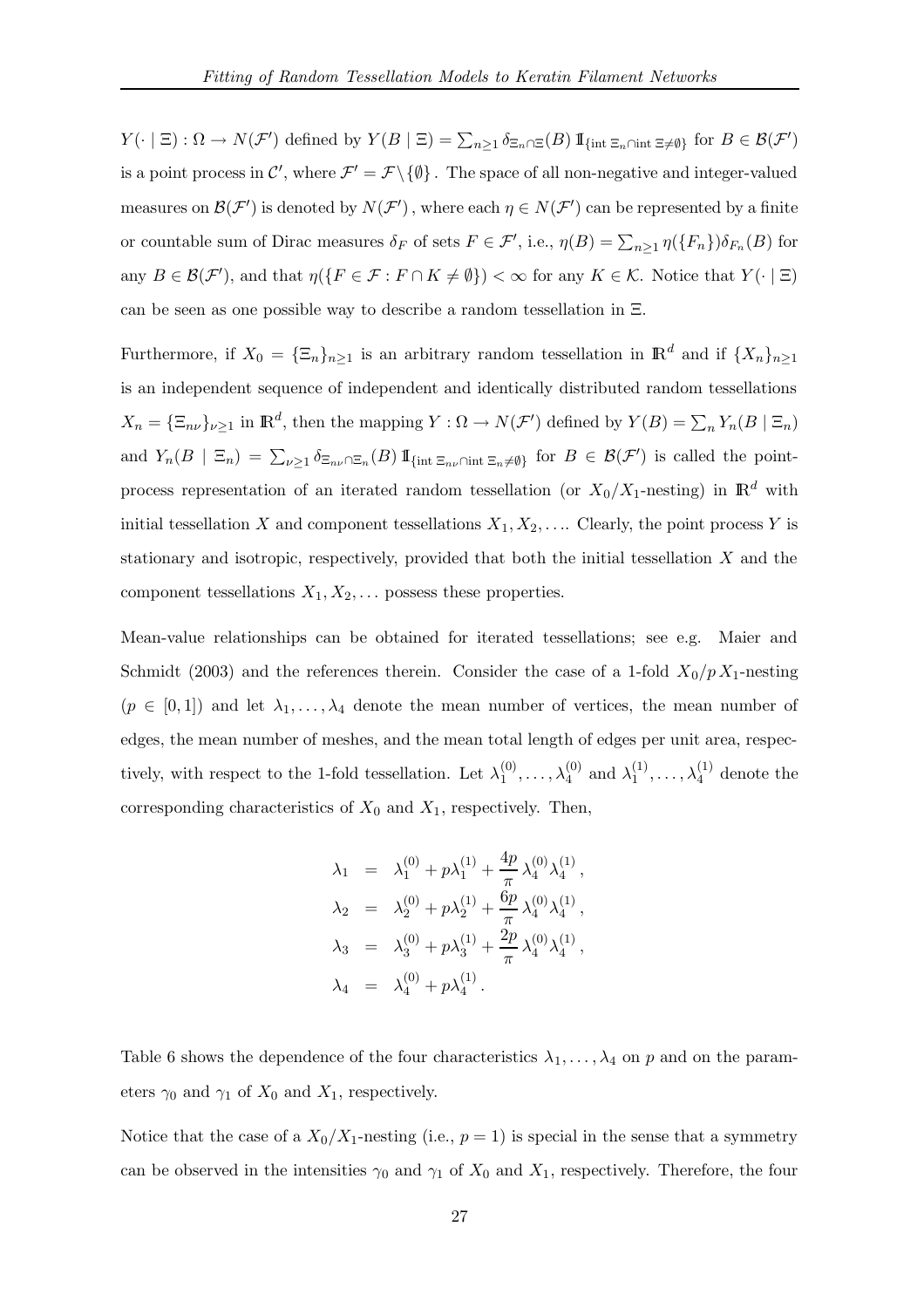$Y(\cdot \mid \Xi) : \Omega \to N(\mathcal{F}')$  defined by  $Y(B \mid \Xi) = \sum_{n \geq 1} \delta_{\Xi_n \cap \Xi}(B) 1\!\!1_{\{\text{int } \Xi_n \cap \text{int } \Xi \neq \emptyset\}}$  for  $B \in \mathcal{B}(\mathcal{F}')$ is a point process in  $\mathcal{C}'$ , where  $\mathcal{F}' = \mathcal{F} \setminus \{\emptyset\}$ . The space of all non-negative and integer-valued measures on  $\mathcal{B}(\mathcal{F}')$  is denoted by  $N(\mathcal{F}')$ , where each  $\eta \in N(\mathcal{F}')$  can be represented by a finite or countable sum of Dirac measures  $\delta_F$  of sets  $F \in \mathcal{F}'$ , i.e.,  $\eta(B) = \sum_{n \geq 1} \eta(\lbrace F_n \rbrace) \delta_{F_n}(B)$  for any  $B \in \mathcal{B}(\mathcal{F}')$ , and that  $\eta(\lbrace F \in \mathcal{F} : F \cap K \neq \emptyset \rbrace) < \infty$  for any  $K \in \mathcal{K}$ . Notice that  $Y(\cdot | \Xi)$ can be seen as one possible way to describe a random tessellation in Ξ.

Furthermore, if  $X_0 = {\{\Xi_n\}}_{n\geq 1}$  is an arbitrary random tessellation in  $\mathbb{R}^d$  and if  $\{X_n\}_{n\geq 1}$ is an independent sequence of independent and identically distributed random tessellations  $X_n = {\{\Xi_{n\nu}\}}_{\nu \geq 1}$  in  $\mathbb{R}^d$ , then the mapping  $Y : \Omega \to N(\mathcal{F}')$  defined by  $Y(B) = \sum_n Y_n(B \mid \Xi_n)$ and  $Y_n(B \mid \Xi_n) = \sum_{\nu \geq 1} \delta_{\Xi_{n\nu} \cap \Xi_n}(B) 1\!\!1_{\{\text{int } \Xi_{n\nu} \cap \text{int } \Xi_n \neq \emptyset\}}$  for  $B \in \mathcal{B}(\mathcal{F}')$  is called the pointprocess representation of an iterated random tessellation (or  $X_0/X_1$ -nesting) in  $\mathbb{R}^d$  with initial tessellation X and component tessellations  $X_1, X_2, \ldots$  Clearly, the point process Y is stationary and isotropic, respectively, provided that both the initial tessellation  $X$  and the component tessellations  $X_1, X_2, \ldots$  possess these properties.

Mean-value relationships can be obtained for iterated tessellations; see e.g. Maier and Schmidt (2003) and the references therein. Consider the case of a 1-fold  $X_0/p X_1$ -nesting  $(p \in [0,1])$  and let  $\lambda_1,\ldots,\lambda_4$  denote the mean number of vertices, the mean number of edges, the mean number of meshes, and the mean total length of edges per unit area, respectively, with respect to the 1-fold tessellation. Let  $\lambda_1^{(0)}$  $\lambda_1^{(0)},\ldots,\lambda_4^{(0)}$  $\lambda_4^{(0)}$  and  $\lambda_1^{(1)}$  $\lambda_1^{(1)}, \ldots, \lambda_4^{(1)}$  denote the corresponding characteristics of  $X_0$  and  $X_1$ , respectively. Then,

$$
\lambda_1 = \lambda_1^{(0)} + p\lambda_1^{(1)} + \frac{4p}{\pi} \lambda_4^{(0)} \lambda_4^{(1)},
$$
  
\n
$$
\lambda_2 = \lambda_2^{(0)} + p\lambda_2^{(1)} + \frac{6p}{\pi} \lambda_4^{(0)} \lambda_4^{(1)},
$$
  
\n
$$
\lambda_3 = \lambda_3^{(0)} + p\lambda_3^{(1)} + \frac{2p}{\pi} \lambda_4^{(0)} \lambda_4^{(1)},
$$
  
\n
$$
\lambda_4 = \lambda_4^{(0)} + p\lambda_4^{(1)}.
$$

Table 6 shows the dependence of the four characteristics  $\lambda_1, \ldots, \lambda_4$  on p and on the parameters  $\gamma_0$  and  $\gamma_1$  of  $X_0$  and  $X_1$ , respectively.

Notice that the case of a  $X_0/X_1$ -nesting (i.e.,  $p=1$ ) is special in the sense that a symmetry can be observed in the intensities  $\gamma_0$  and  $\gamma_1$  of  $X_0$  and  $X_1$ , respectively. Therefore, the four